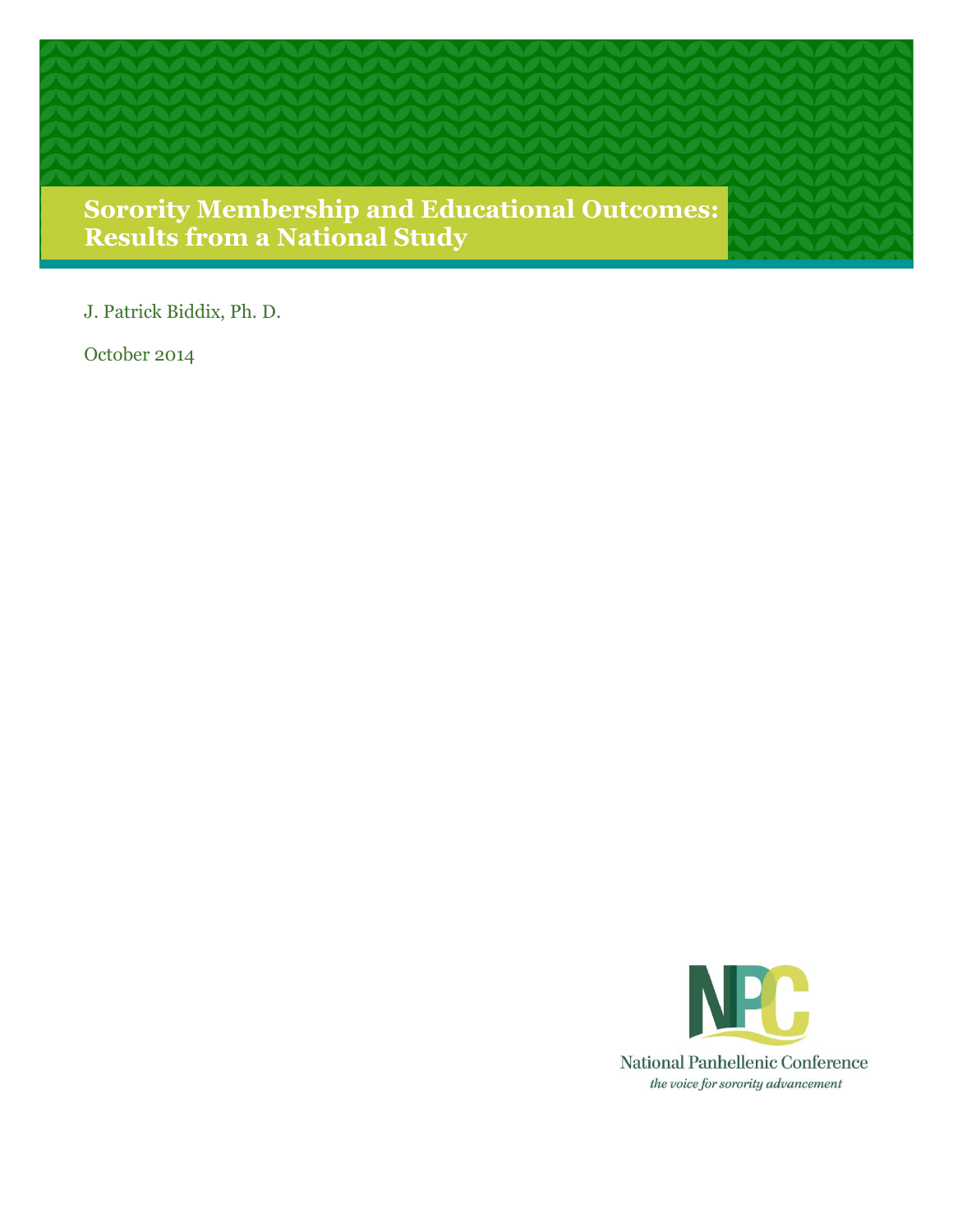

J. Patrick Biddix, Ph. D.

October 2014

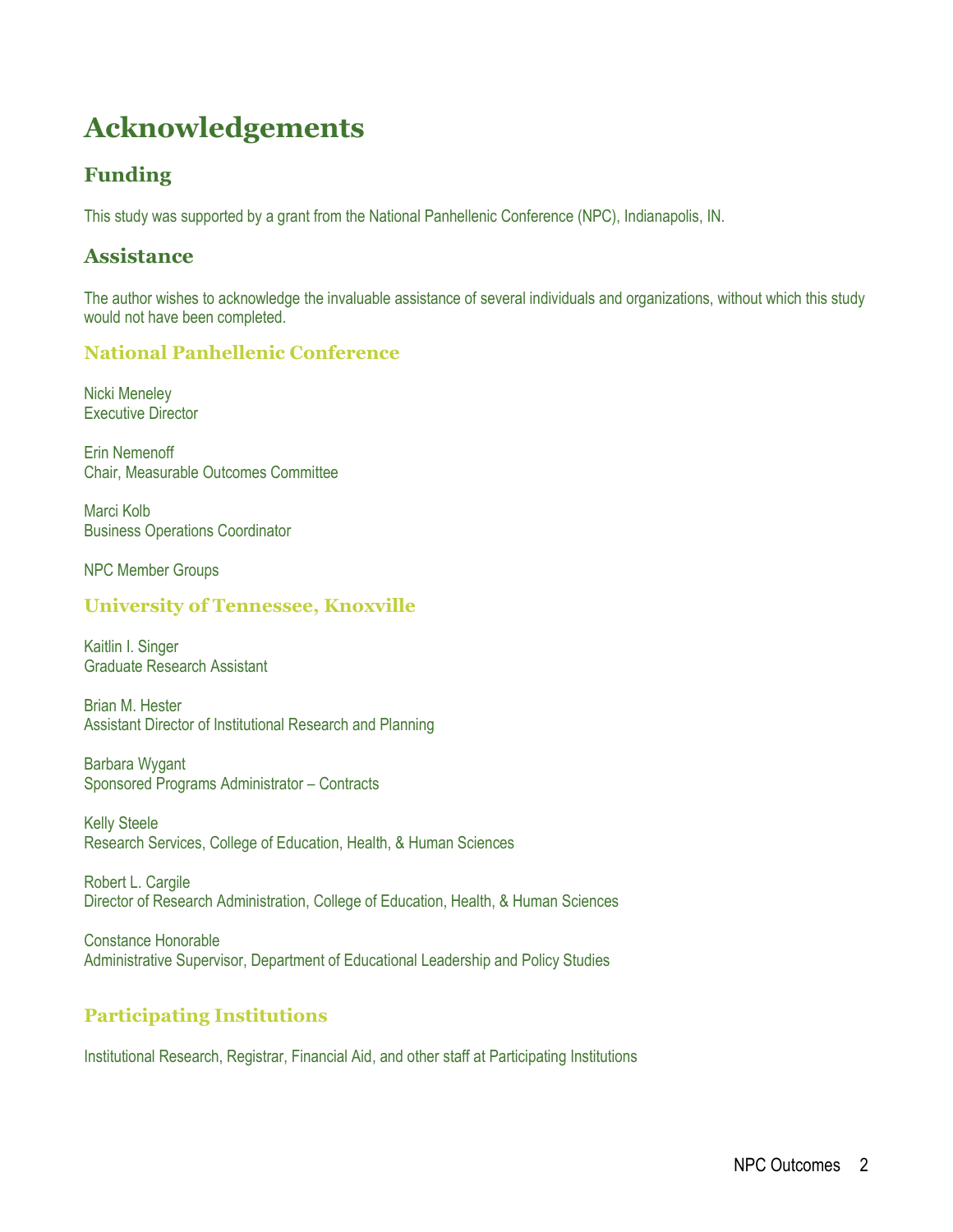## **Acknowledgements**

## **Funding**

This study was supported by a grant from the National Panhellenic Conference (NPC), Indianapolis, IN.

## **Assistance**

The author wishes to acknowledge the invaluable assistance of several individuals and organizations, without which this study would not have been completed.

### **National Panhellenic Conference**

Nicki Meneley Executive Director

Erin Nemenoff Chair, Measurable Outcomes Committee

Marci Kolb Business Operations Coordinator

NPC Member Groups

### **University of Tennessee, Knoxville**

Kaitlin I. Singer Graduate Research Assistant

Brian M. Hester Assistant Director of Institutional Research and Planning

Barbara Wygant Sponsored Programs Administrator – Contracts

Kelly Steele Research Services, College of Education, Health, & Human Sciences

Robert L. Cargile Director of Research Administration, College of Education, Health, & Human Sciences

Constance Honorable Administrative Supervisor, Department of Educational Leadership and Policy Studies

## **Participating Institutions**

Institutional Research, Registrar, Financial Aid, and other staff at Participating Institutions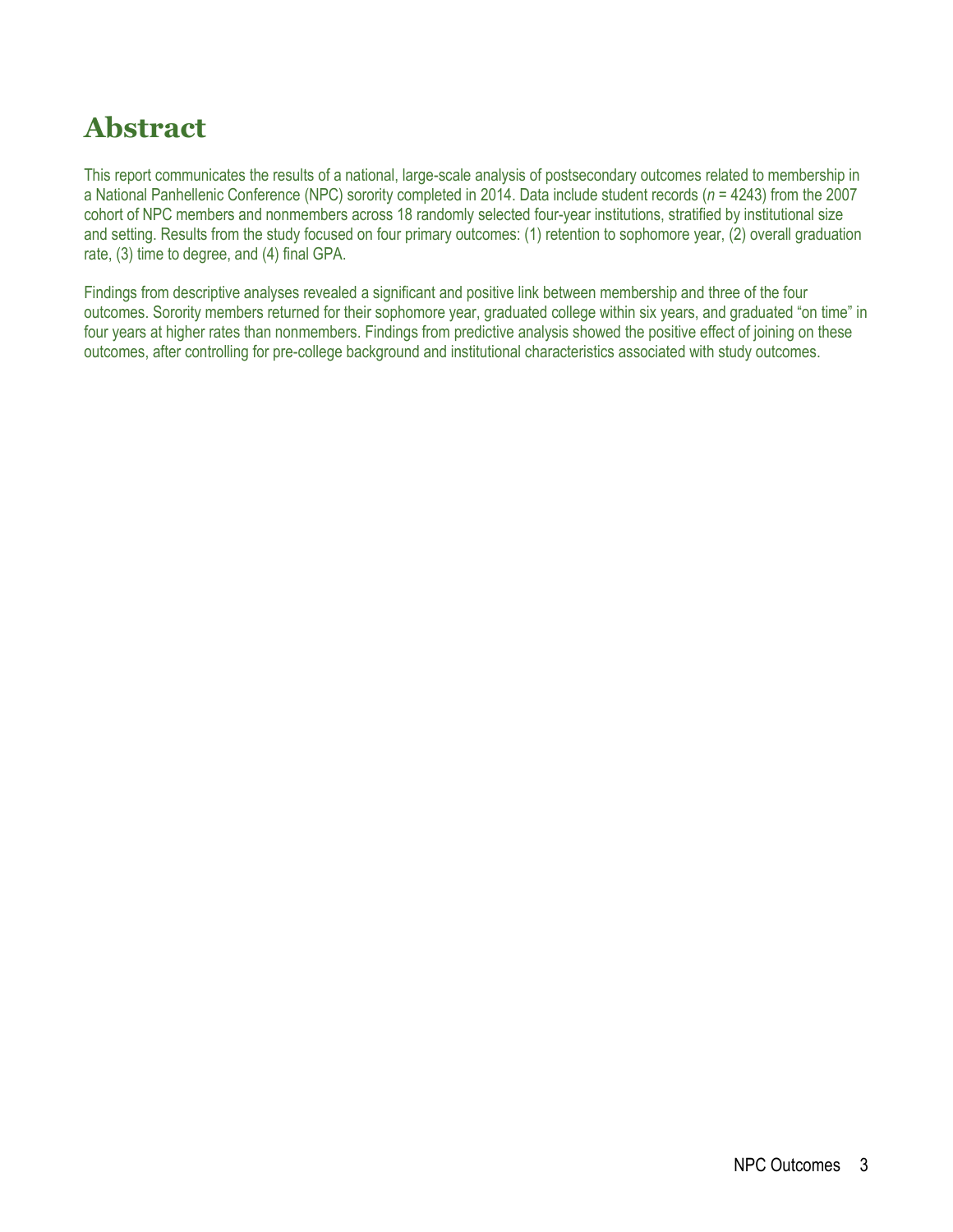## **Abstract**

This report communicates the results of a national, large-scale analysis of postsecondary outcomes related to membership in a National Panhellenic Conference (NPC) sorority completed in 2014. Data include student records (*n* = 4243) from the 2007 cohort of NPC members and nonmembers across 18 randomly selected four-year institutions, stratified by institutional size and setting. Results from the study focused on four primary outcomes: (1) retention to sophomore year, (2) overall graduation rate, (3) time to degree, and (4) final GPA.

Findings from descriptive analyses revealed a significant and positive link between membership and three of the four outcomes. Sorority members returned for their sophomore year, graduated college within six years, and graduated "on time" in four years at higher rates than nonmembers. Findings from predictive analysis showed the positive effect of joining on these outcomes, after controlling for pre-college background and institutional characteristics associated with study outcomes.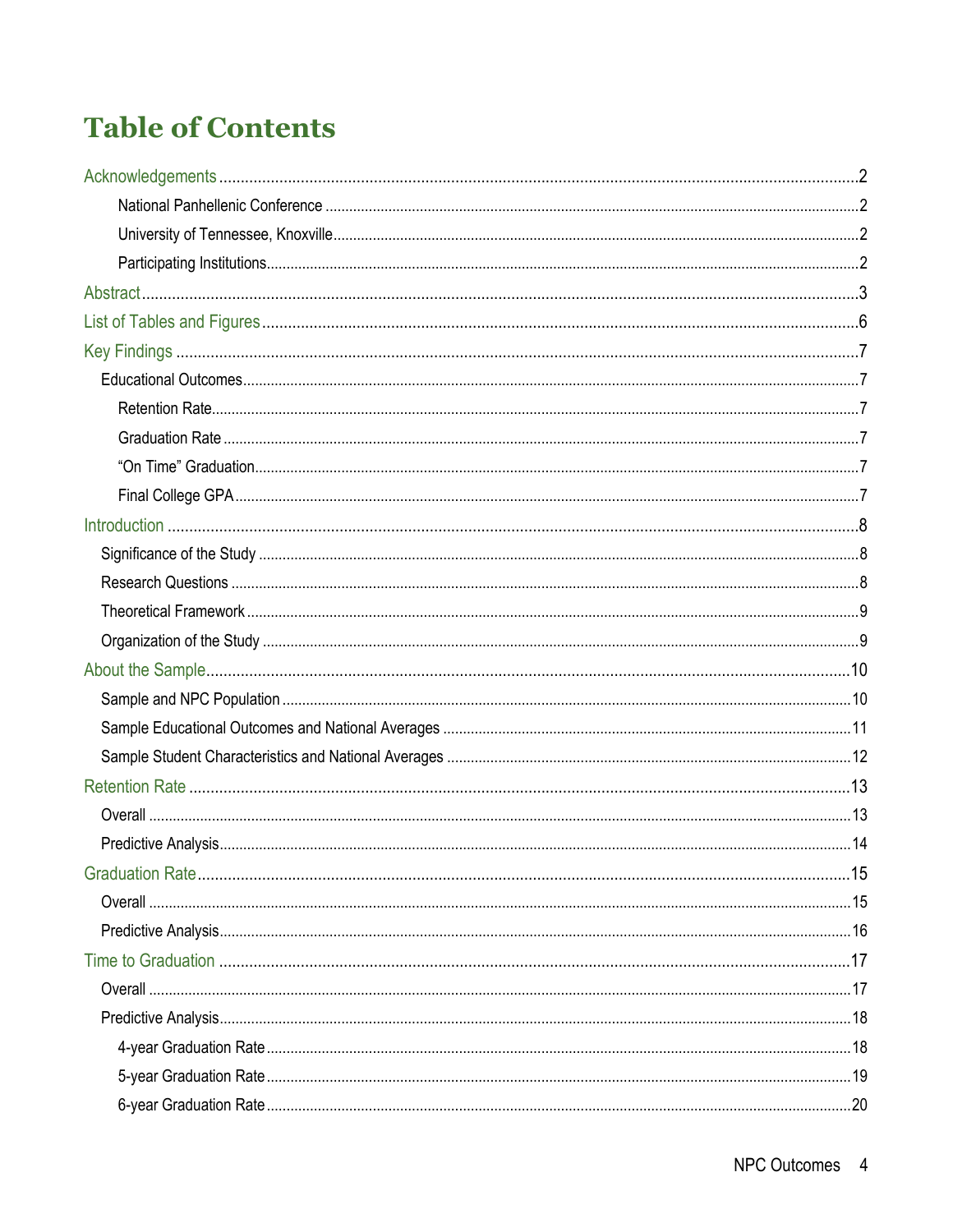# **Table of Contents**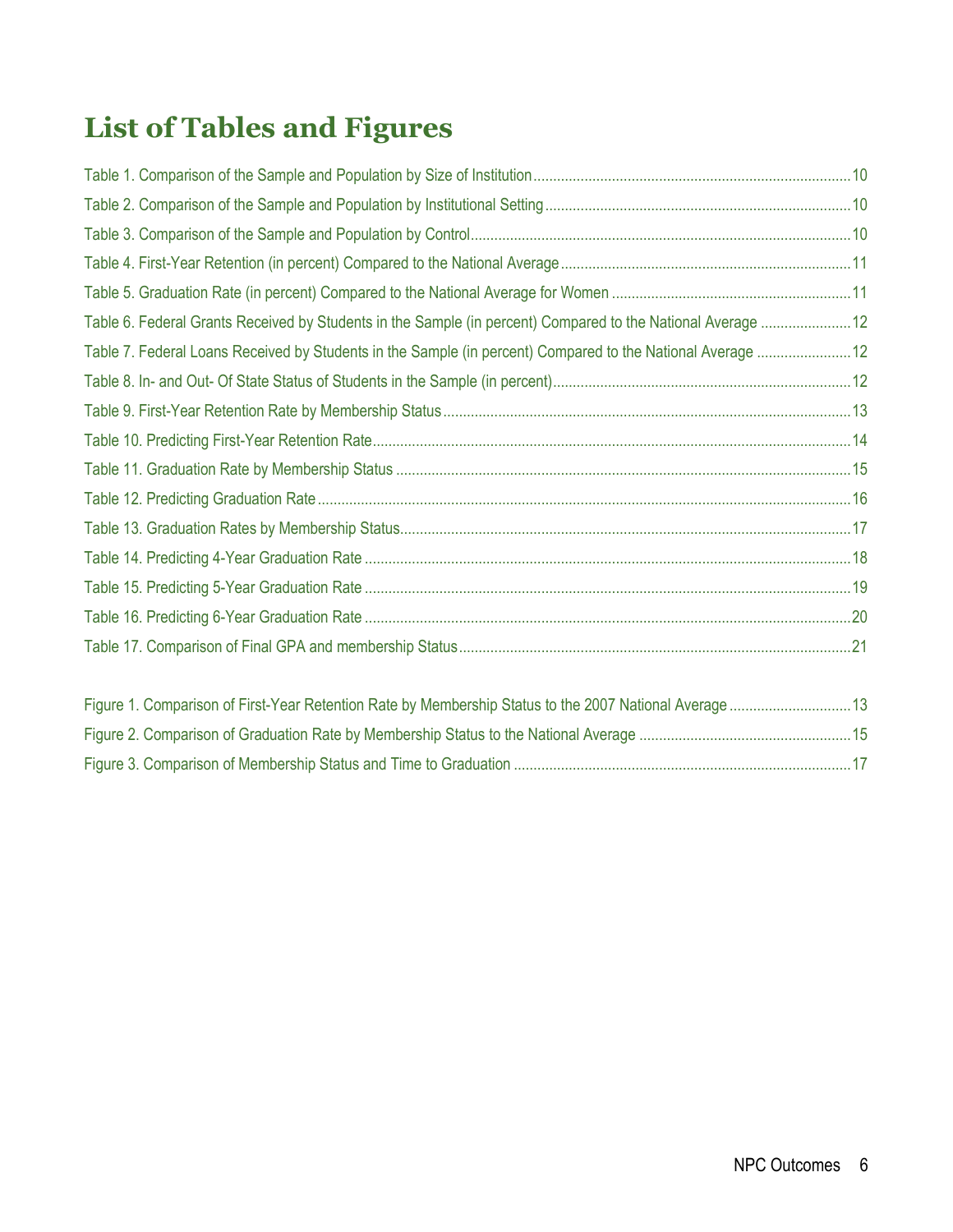# **List of Tables and Figures**

| Table 6. Federal Grants Received by Students in the Sample (in percent) Compared to the National Average  12 |  |
|--------------------------------------------------------------------------------------------------------------|--|
| Table 7. Federal Loans Received by Students in the Sample (in percent) Compared to the National Average  12  |  |
|                                                                                                              |  |
|                                                                                                              |  |
|                                                                                                              |  |
|                                                                                                              |  |
|                                                                                                              |  |
|                                                                                                              |  |
|                                                                                                              |  |
|                                                                                                              |  |
|                                                                                                              |  |
|                                                                                                              |  |
|                                                                                                              |  |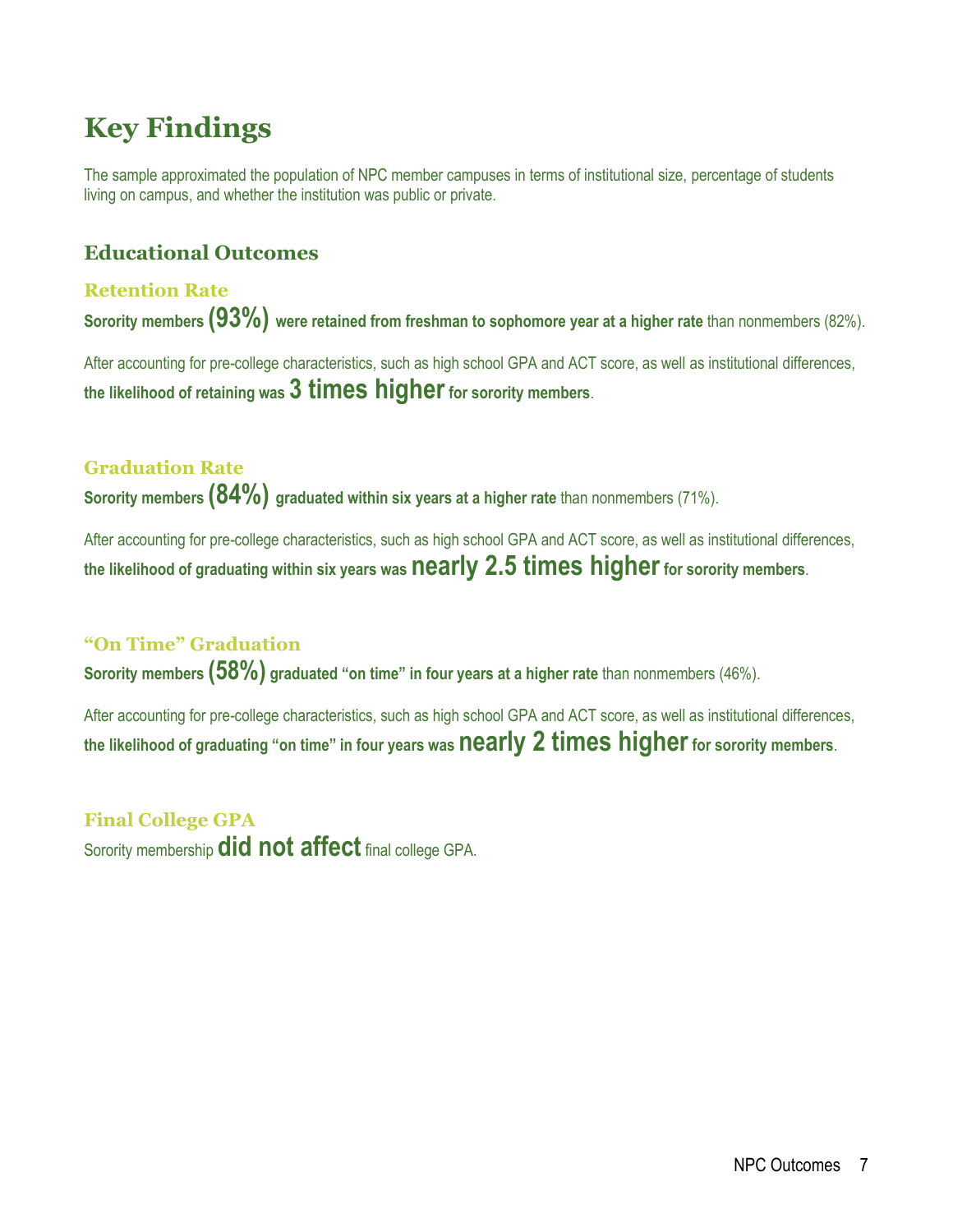## **Key Findings**

The sample approximated the population of NPC member campuses in terms of institutional size, percentage of students living on campus, and whether the institution was public or private.

## **Educational Outcomes**

#### **Retention Rate**

**Sorority members (93%) were retained from freshman to sophomore year at a higher rate** than nonmembers (82%).

After accounting for pre-college characteristics, such as high school GPA and ACT score, as well as institutional differences, **the likelihood of retaining was 3 times higherfor sorority members**.

### **Graduation Rate**

**Sorority members (84%) graduated within six years at a higher rate** than nonmembers (71%).

After accounting for pre-college characteristics, such as high school GPA and ACT score, as well as institutional differences, **the likelihood of graduating within six years was nearly 2.5 times higherfor sorority members**.

### **"On Time" Graduation**

**Sorority members (58%) graduated "on time" in four years at a higher rate** than nonmembers (46%).

After accounting for pre-college characteristics, such as high school GPA and ACT score, as well as institutional differences, **the likelihood of graduating "on time" in four years was nearly 2 times higherfor sorority members**.

## **Final College GPA** Sorority membership **did not affect** final college GPA.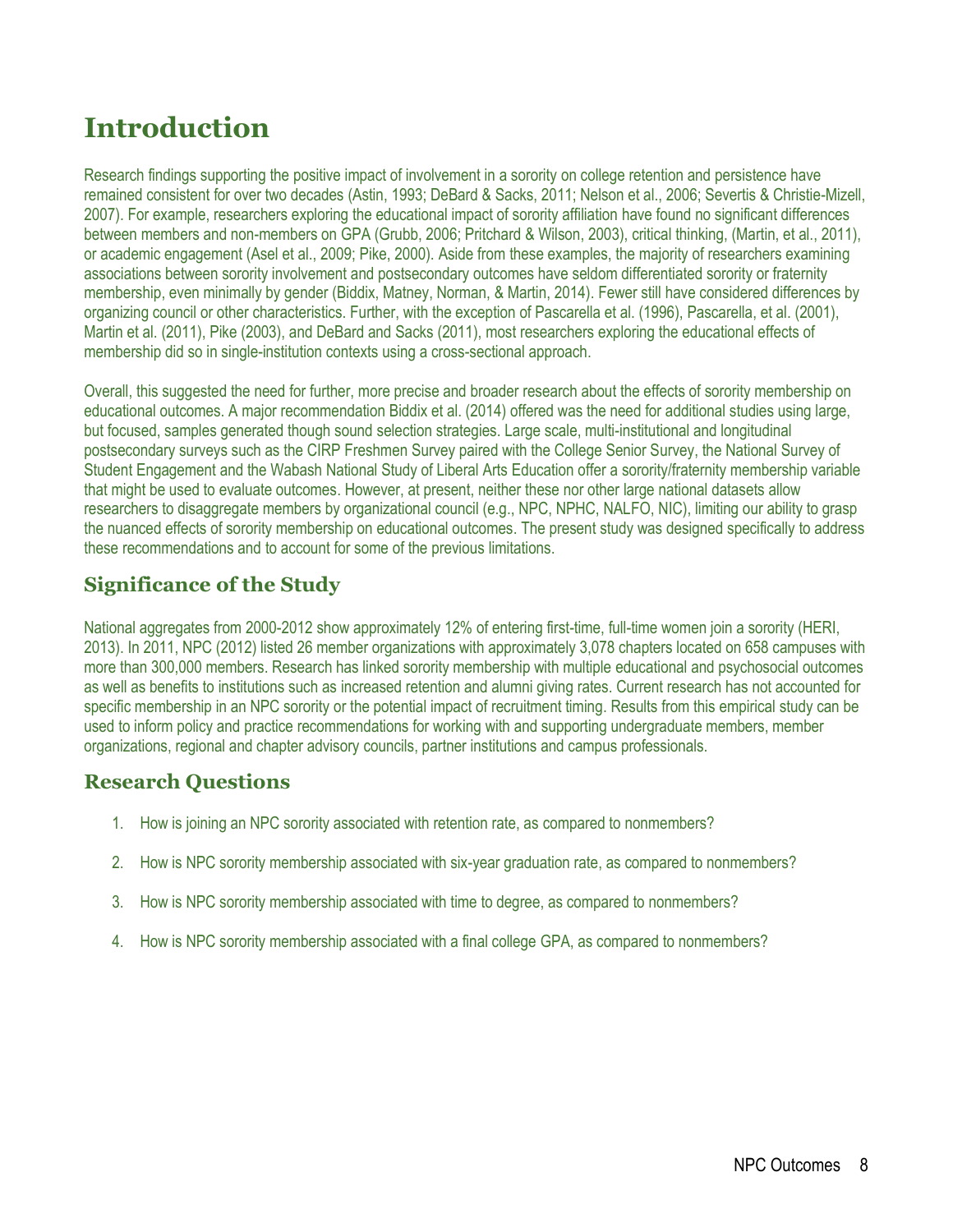## **Introduction**

Research findings supporting the positive impact of involvement in a sorority on college retention and persistence have remained consistent for over two decades (Astin, 1993; DeBard & Sacks, 2011; Nelson et al., 2006; Severtis & Christie-Mizell, 2007). For example, researchers exploring the educational impact of sorority affiliation have found no significant differences between members and non-members on GPA (Grubb, 2006; Pritchard & Wilson, 2003), critical thinking, (Martin, et al., 2011), or academic engagement (Asel et al., 2009; Pike, 2000). Aside from these examples, the majority of researchers examining associations between sorority involvement and postsecondary outcomes have seldom differentiated sorority or fraternity membership, even minimally by gender (Biddix, Matney, Norman, & Martin, 2014). Fewer still have considered differences by organizing council or other characteristics. Further, with the exception of Pascarella et al. (1996), Pascarella, et al. (2001), Martin et al. (2011), Pike (2003), and DeBard and Sacks (2011), most researchers exploring the educational effects of membership did so in single-institution contexts using a cross-sectional approach.

Overall, this suggested the need for further, more precise and broader research about the effects of sorority membership on educational outcomes. A major recommendation Biddix et al. (2014) offered was the need for additional studies using large, but focused, samples generated though sound selection strategies. Large scale, multi-institutional and longitudinal postsecondary surveys such as the CIRP Freshmen Survey paired with the College Senior Survey, the National Survey of Student Engagement and the Wabash National Study of Liberal Arts Education offer a sorority/fraternity membership variable that might be used to evaluate outcomes. However, at present, neither these nor other large national datasets allow researchers to disaggregate members by organizational council (e.g., NPC, NPHC, NALFO, NIC), limiting our ability to grasp the nuanced effects of sorority membership on educational outcomes. The present study was designed specifically to address these recommendations and to account for some of the previous limitations.

## **Significance of the Study**

National aggregates from 2000-2012 show approximately 12% of entering first-time, full-time women join a sorority (HERI, 2013). In 2011, NPC (2012) listed 26 member organizations with approximately 3,078 chapters located on 658 campuses with more than 300,000 members. Research has linked sorority membership with multiple educational and psychosocial outcomes as well as benefits to institutions such as increased retention and alumni giving rates. Current research has not accounted for specific membership in an NPC sorority or the potential impact of recruitment timing. Results from this empirical study can be used to inform policy and practice recommendations for working with and supporting undergraduate members, member organizations, regional and chapter advisory councils, partner institutions and campus professionals.

## **Research Questions**

- 1. How is joining an NPC sorority associated with retention rate, as compared to nonmembers?
- 2. How is NPC sorority membership associated with six-year graduation rate, as compared to nonmembers?
- 3. How is NPC sorority membership associated with time to degree, as compared to nonmembers?
- 4. How is NPC sorority membership associated with a final college GPA, as compared to nonmembers?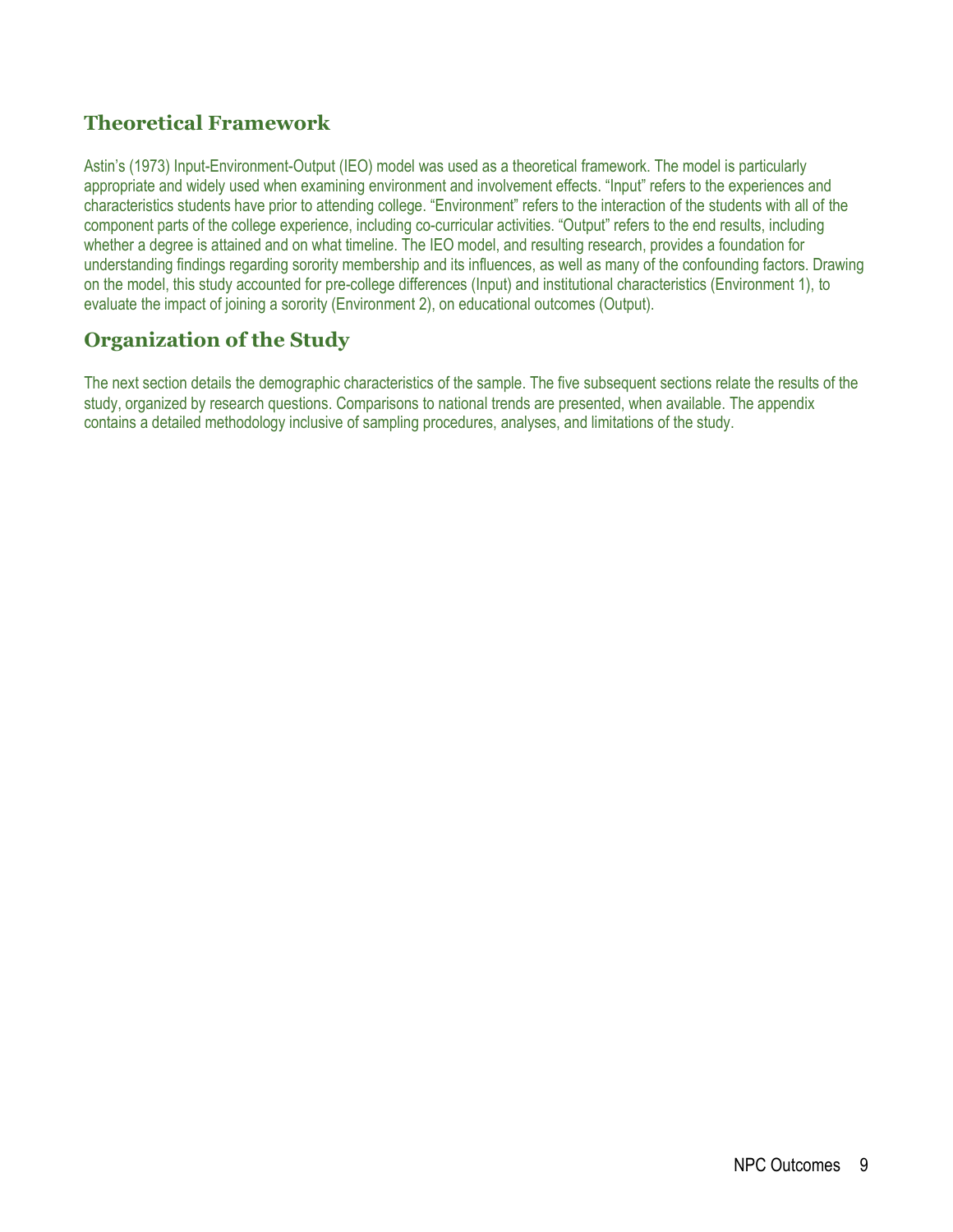## **Theoretical Framework**

Astin's (1973) Input-Environment-Output (IEO) model was used as a theoretical framework. The model is particularly appropriate and widely used when examining environment and involvement effects. "Input" refers to the experiences and characteristics students have prior to attending college. "Environment" refers to the interaction of the students with all of the component parts of the college experience, including co-curricular activities. "Output" refers to the end results, including whether a degree is attained and on what timeline. The IEO model, and resulting research, provides a foundation for understanding findings regarding sorority membership and its influences, as well as many of the confounding factors. Drawing on the model, this study accounted for pre-college differences (Input) and institutional characteristics (Environment 1), to evaluate the impact of joining a sorority (Environment 2), on educational outcomes (Output).

## **Organization of the Study**

The next section details the demographic characteristics of the sample. The five subsequent sections relate the results of the study, organized by research questions. Comparisons to national trends are presented, when available. The appendix contains a detailed methodology inclusive of sampling procedures, analyses, and limitations of the study.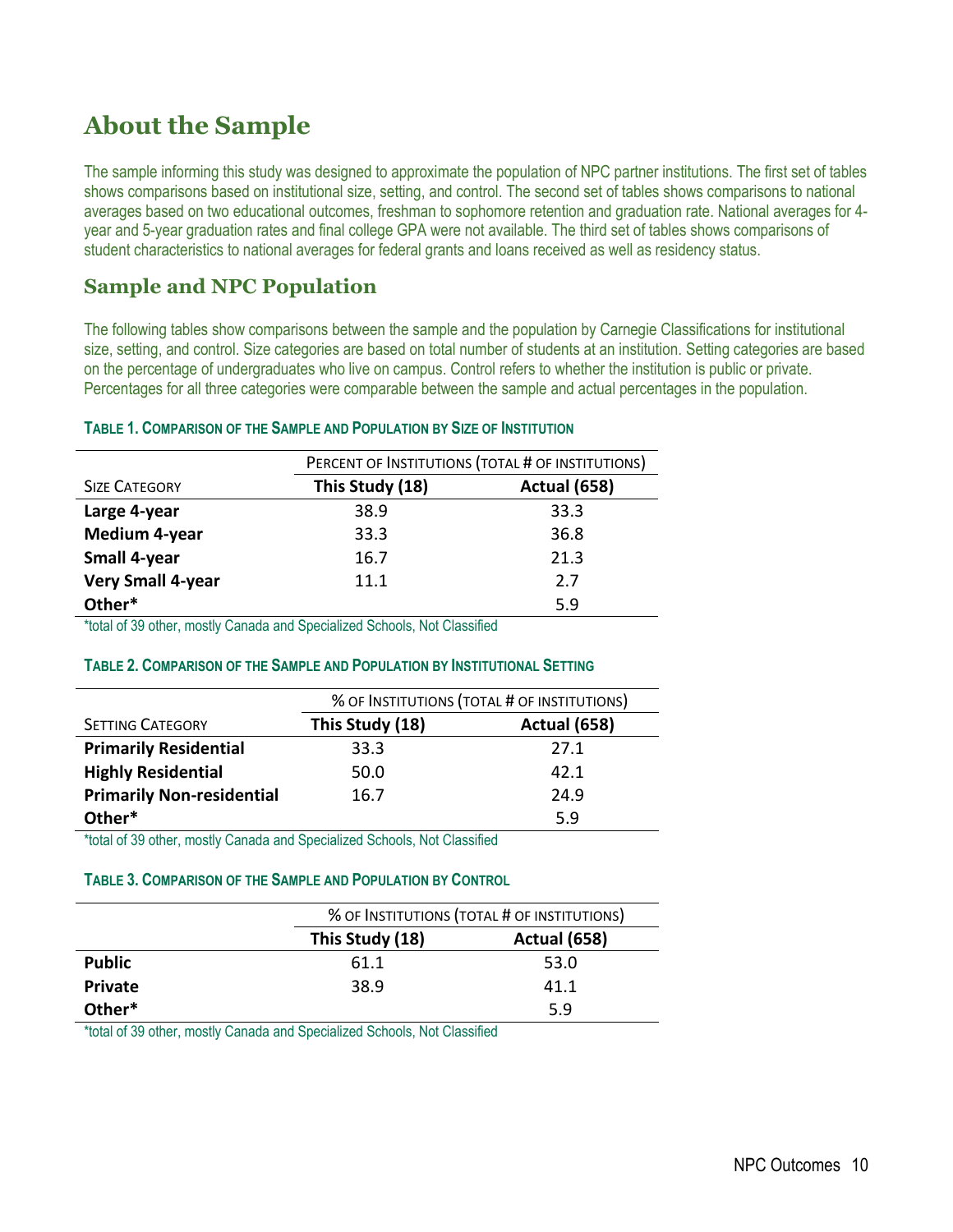## **About the Sample**

The sample informing this study was designed to approximate the population of NPC partner institutions. The first set of tables shows comparisons based on institutional size, setting, and control. The second set of tables shows comparisons to national averages based on two educational outcomes, freshman to sophomore retention and graduation rate. National averages for 4 year and 5-year graduation rates and final college GPA were not available. The third set of tables shows comparisons of student characteristics to national averages for federal grants and loans received as well as residency status.

## **Sample and NPC Population**

The following tables show comparisons between the sample and the population by Carnegie Classifications for institutional size, setting, and control. Size categories are based on total number of students at an institution. Setting categories are based on the percentage of undergraduates who live on campus. Control refers to whether the institution is public or private. Percentages for all three categories were comparable between the sample and actual percentages in the population.

#### **TABLE 1. COMPARISON OF THE SAMPLE AND POPULATION BY SIZE OF INSTITUTION**

|                      | PERCENT OF INSTITUTIONS (TOTAL # OF INSTITUTIONS) |                     |
|----------------------|---------------------------------------------------|---------------------|
| <b>SIZE CATEGORY</b> | This Study (18)                                   | <b>Actual (658)</b> |
| Large 4-year         | 38.9                                              | 33.3                |
| <b>Medium 4-year</b> | 33.3                                              | 36.8                |
| <b>Small 4-year</b>  | 16.7                                              | 21.3                |
| Very Small 4-year    | 11.1                                              | 2.7                 |
| Other*               |                                                   | 5.9                 |

\*total of 39 other, mostly Canada and Specialized Schools, Not Classified

#### **TABLE 2. COMPARISON OF THE SAMPLE AND POPULATION BY INSTITUTIONAL SETTING**

|                                  | % OF INSTITUTIONS (TOTAL # OF INSTITUTIONS) |                     |
|----------------------------------|---------------------------------------------|---------------------|
| <b>SETTING CATEGORY</b>          | This Study (18)                             | <b>Actual (658)</b> |
| <b>Primarily Residential</b>     | 33.3                                        | 27.1                |
| <b>Highly Residential</b>        | 50.0                                        | 42.1                |
| <b>Primarily Non-residential</b> | 16.7                                        | 24.9                |
| Other*                           |                                             | 5.9                 |

\*total of 39 other, mostly Canada and Specialized Schools, Not Classified

#### **TABLE 3. COMPARISON OF THE SAMPLE AND POPULATION BY CONTROL**

|                | % OF INSTITUTIONS (TOTAL # OF INSTITUTIONS) |                     |
|----------------|---------------------------------------------|---------------------|
|                | This Study (18)                             | <b>Actual (658)</b> |
| <b>Public</b>  | 61.1                                        | 53.0                |
| <b>Private</b> | 38.9                                        | 41.1                |
| Other*         |                                             | 5.9                 |

\*total of 39 other, mostly Canada and Specialized Schools, Not Classified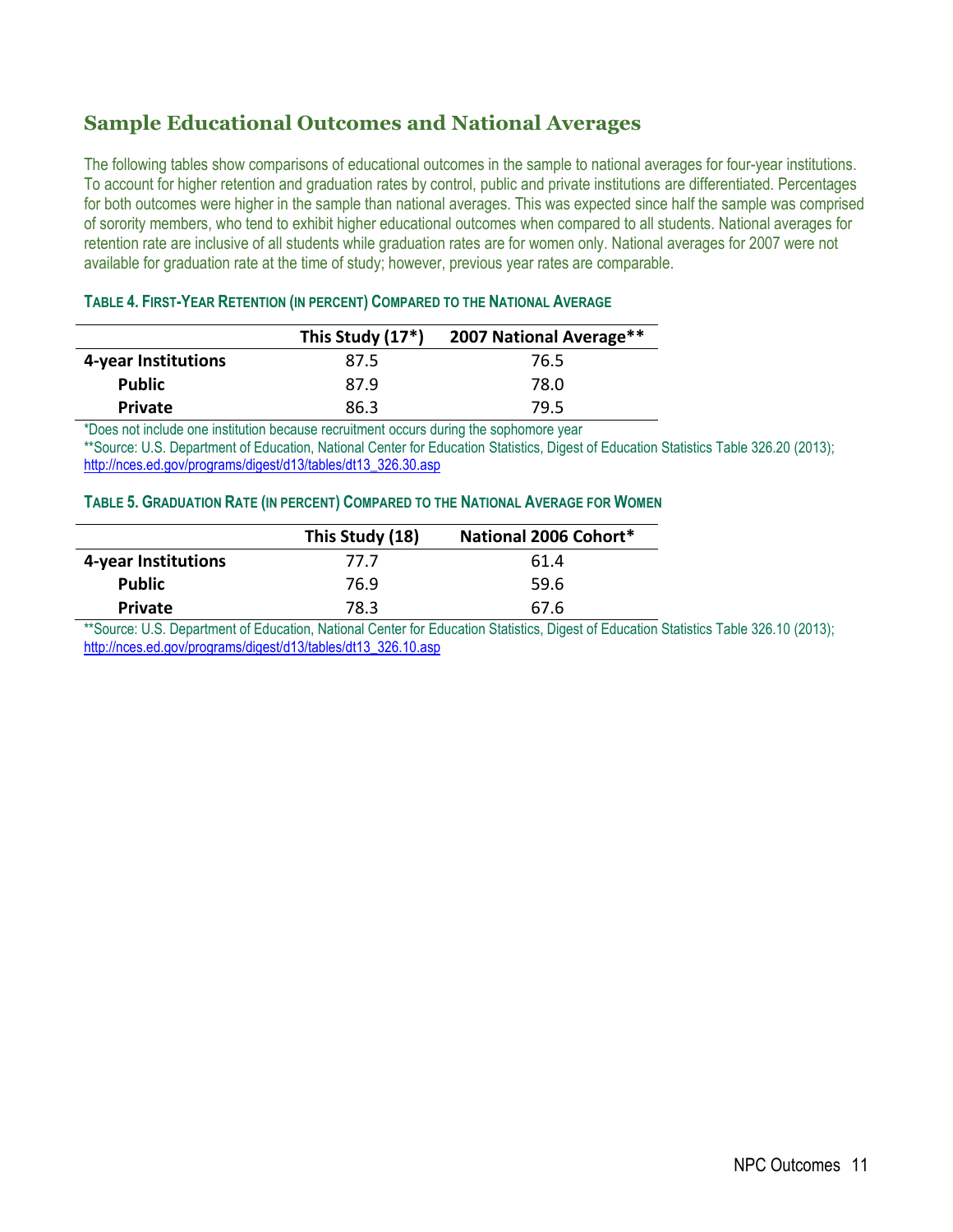## **Sample Educational Outcomes and National Averages**

The following tables show comparisons of educational outcomes in the sample to national averages for four-year institutions. To account for higher retention and graduation rates by control, public and private institutions are differentiated. Percentages for both outcomes were higher in the sample than national averages. This was expected since half the sample was comprised of sorority members, who tend to exhibit higher educational outcomes when compared to all students. National averages for retention rate are inclusive of all students while graduation rates are for women only. National averages for 2007 were not available for graduation rate at the time of study; however, previous year rates are comparable.

|                     | This Study (17*) | 2007 National Average** |
|---------------------|------------------|-------------------------|
| 4-year Institutions | 87.5             | 76.5                    |
| <b>Public</b>       | 87.9             | 78.0                    |
| <b>Private</b>      | 86.3             | 79.5                    |
| $\sim$              | $\cdots$         | .                       |

#### **TABLE 4. FIRST-YEAR RETENTION (IN PERCENT) COMPARED TO THE NATIONAL AVERAGE**

\*Does not include one institution because recruitment occurs during the sophomore year \*\*Source: U.S. Department of Education, National Center for Education Statistics, Digest of Education Statistics Table 326.20 (2013);

[http://nces.ed.gov/programs/digest/d13/tables/dt13\\_326.30.asp](http://nces.ed.gov/programs/digest/d13/tables/dt13_326.30.asp)

#### **TABLE 5. GRADUATION RATE (IN PERCENT) COMPARED TO THE NATIONAL AVERAGE FOR WOMEN**

|                     | This Study (18) | National 2006 Cohort* |
|---------------------|-----------------|-----------------------|
| 4-year Institutions | 77.7            | 61.4                  |
| <b>Public</b>       | 76.9            | 59.6                  |
| <b>Private</b>      | 78.3            | 67.6                  |

\*\*Source: U.S. Department of Education, National Center for Education Statistics, Digest of Education Statistics Table 326.10 (2013); [http://nces.ed.gov/programs/digest/d13/tables/dt13\\_326.10.asp](http://nces.ed.gov/programs/digest/d13/tables/dt13_326.10.asp)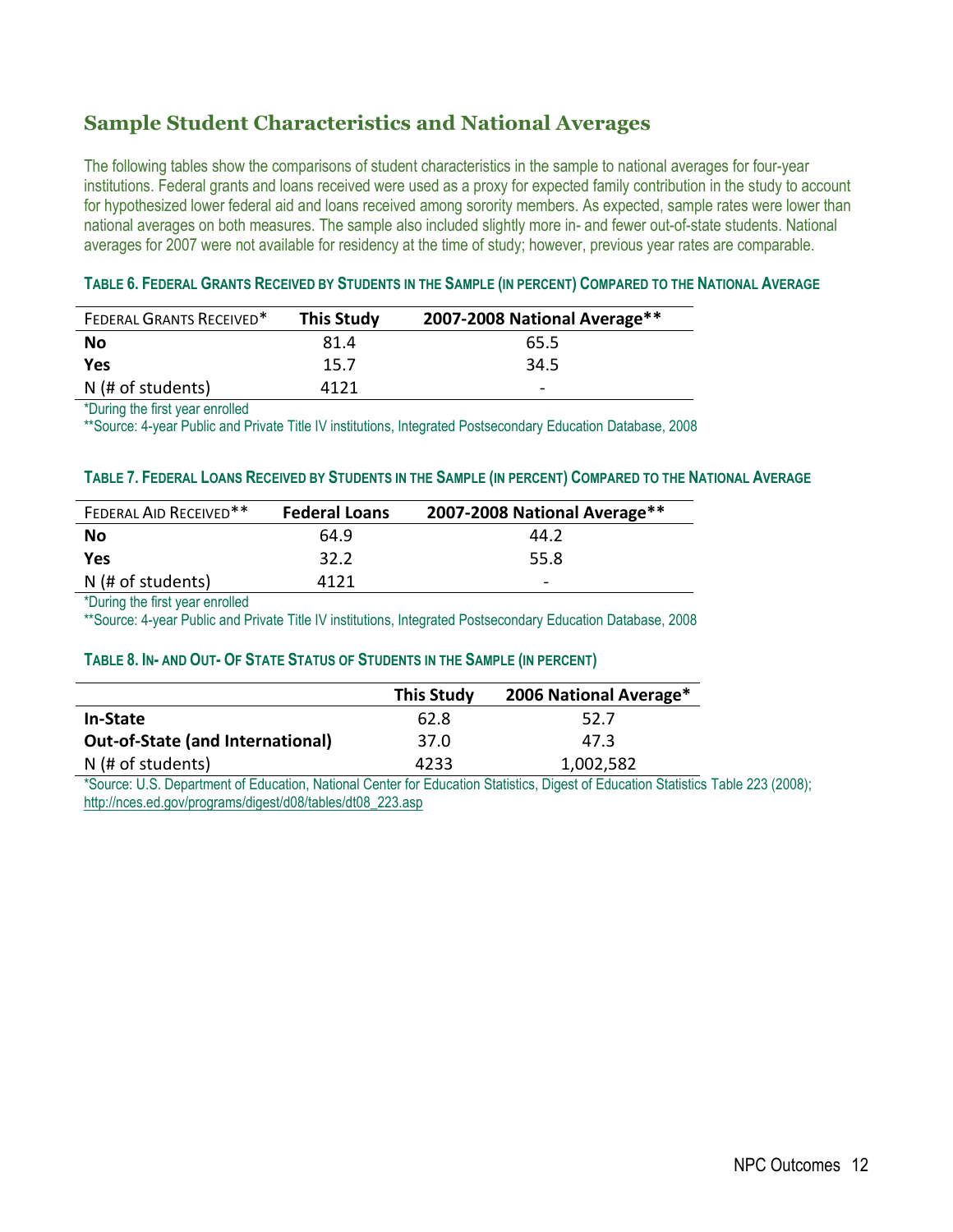## **Sample Student Characteristics and National Averages**

The following tables show the comparisons of student characteristics in the sample to national averages for four-year institutions. Federal grants and loans received were used as a proxy for expected family contribution in the study to account for hypothesized lower federal aid and loans received among sorority members. As expected, sample rates were lower than national averages on both measures. The sample also included slightly more in- and fewer out-of-state students. National averages for 2007 were not available for residency at the time of study; however, previous year rates are comparable.

#### TABLE 6. FEDERAL GRANTS RECEIVED BY STUDENTS IN THE SAMPLE (IN PERCENT) COMPARED TO THE NATIONAL AVERAGE

| <b>FEDERAL GRANTS RECEIVED*</b> | <b>This Study</b> | 2007-2008 National Average** |
|---------------------------------|-------------------|------------------------------|
| No                              | 81.4              | 65.5                         |
| Yes                             | 15.7              | 34.5                         |
| N (# of students)               | 4121              | -                            |

\*During the first year enrolled

\*\*Source: 4-year Public and Private Title IV institutions, Integrated Postsecondary Education Database, 2008

#### TABLE 7. FEDERAL LOANS RECEIVED BY STUDENTS IN THE SAMPLE (IN PERCENT) COMPARED TO THE NATIONAL AVERAGE

| FEDERAL AID RECEIVED** | <b>Federal Loans</b> | 2007-2008 National Average** |
|------------------------|----------------------|------------------------------|
| No                     | 64.9                 | 44.2                         |
| <b>Yes</b>             | 32.2                 | 55.8                         |
| N (# of students)      | 4121                 | $\qquad \qquad \blacksquare$ |

\*During the first year enrolled

\*\*Source: 4-year Public and Private Title IV institutions, Integrated Postsecondary Education Database, 2008

#### TABLE 8. IN-AND OUT- OF STATE STATUS OF STUDENTS IN THE SAMPLE (IN PERCENT)

|                                         | <b>This Study</b> | 2006 National Average* |
|-----------------------------------------|-------------------|------------------------|
| In-State                                | 62.8              | 52.7                   |
| <b>Out-of-State (and International)</b> | 37.0              | 47.3                   |
| N (# of students)                       | 4233              | 1,002,582              |

\*Source: U.S. Department of Education, National Center for Education Statistics, Digest of Education Statistics Table 223 (2008); [http://nces.ed.gov/programs/digest/d08/tables/dt08\\_223.asp](http://nces.ed.gov/programs/digest/d08/tables/dt08_223.asp)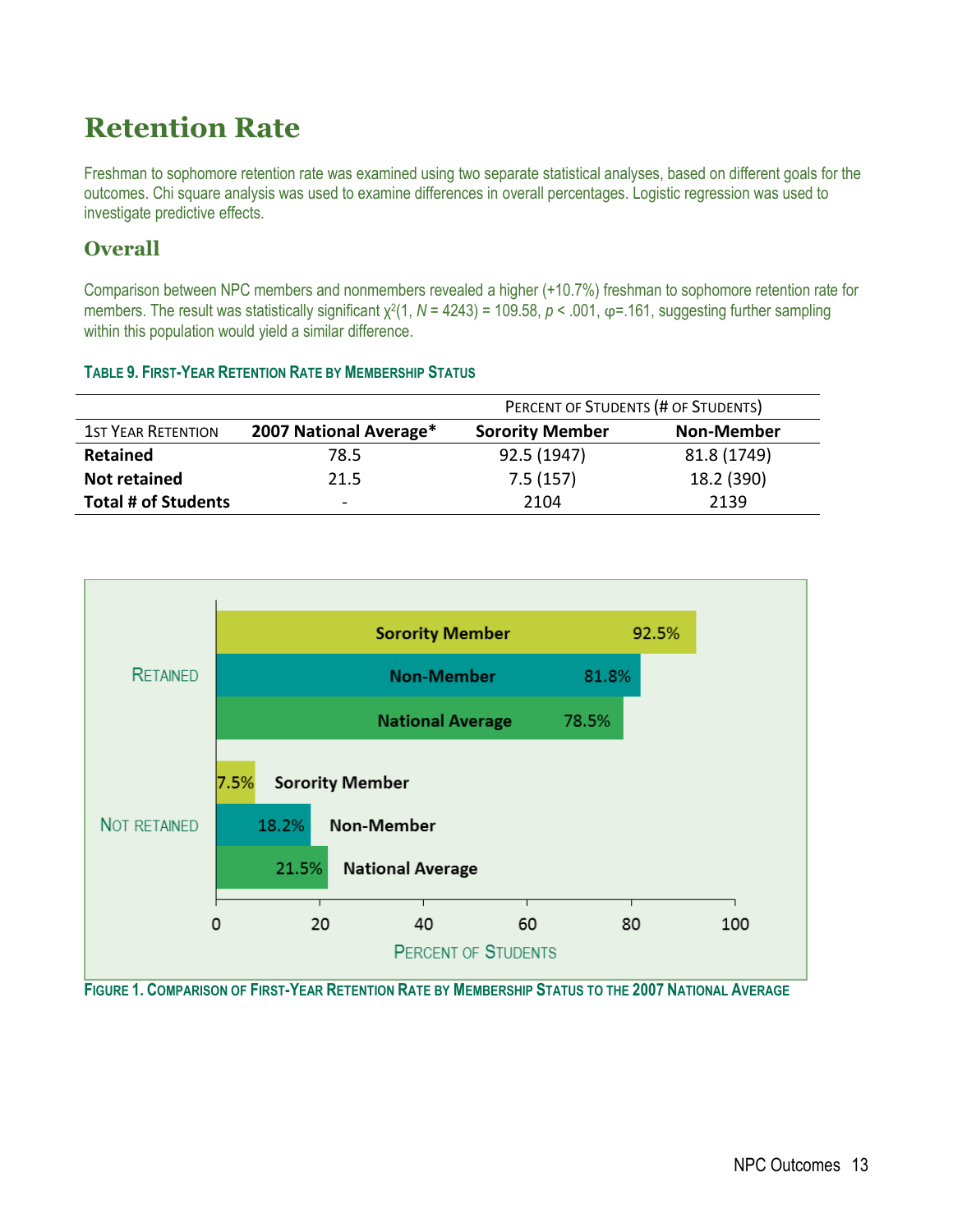## **Retention Rate**

**TABLE 9. FIRST-YEAR RETENTION RATE BY MEMBERSHIP STATUS**

Freshman to sophomore retention rate was examined using two separate statistical analyses, based on different goals for the outcomes. Chi square analysis was used to examine differences in overall percentages. Logistic regression was used to investigate predictive effects.

## **Overall**

Comparison between NPC members and nonmembers revealed a higher (+10.7%) freshman to sophomore retention rate for members. The result was statistically significant  $\chi^2(1, N = 4243) = 109.58$ , *p* < .001, φ=.161, suggesting further sampling within this population would yield a similar difference.

|                            |                        | PERCENT OF STUDENTS (# OF STUDENTS) |                   |  |
|----------------------------|------------------------|-------------------------------------|-------------------|--|
| <b>1ST YEAR RETENTION</b>  | 2007 National Average* | <b>Sorority Member</b>              | <b>Non-Member</b> |  |
| <b>Retained</b>            | 78.5                   | 92.5 (1947)                         | 81.8 (1749)       |  |
| <b>Not retained</b>        | 21.5                   | 7.5(157)                            | 18.2 (390)        |  |
| <b>Total # of Students</b> | $\sim$                 | 2104                                | 2139              |  |



FIGURE 1. COMPARISON OF FIRST-YEAR RETENTION RATE BY MEMBERSHIP STATUS TO THE 2007 NATIONAL AVERAGE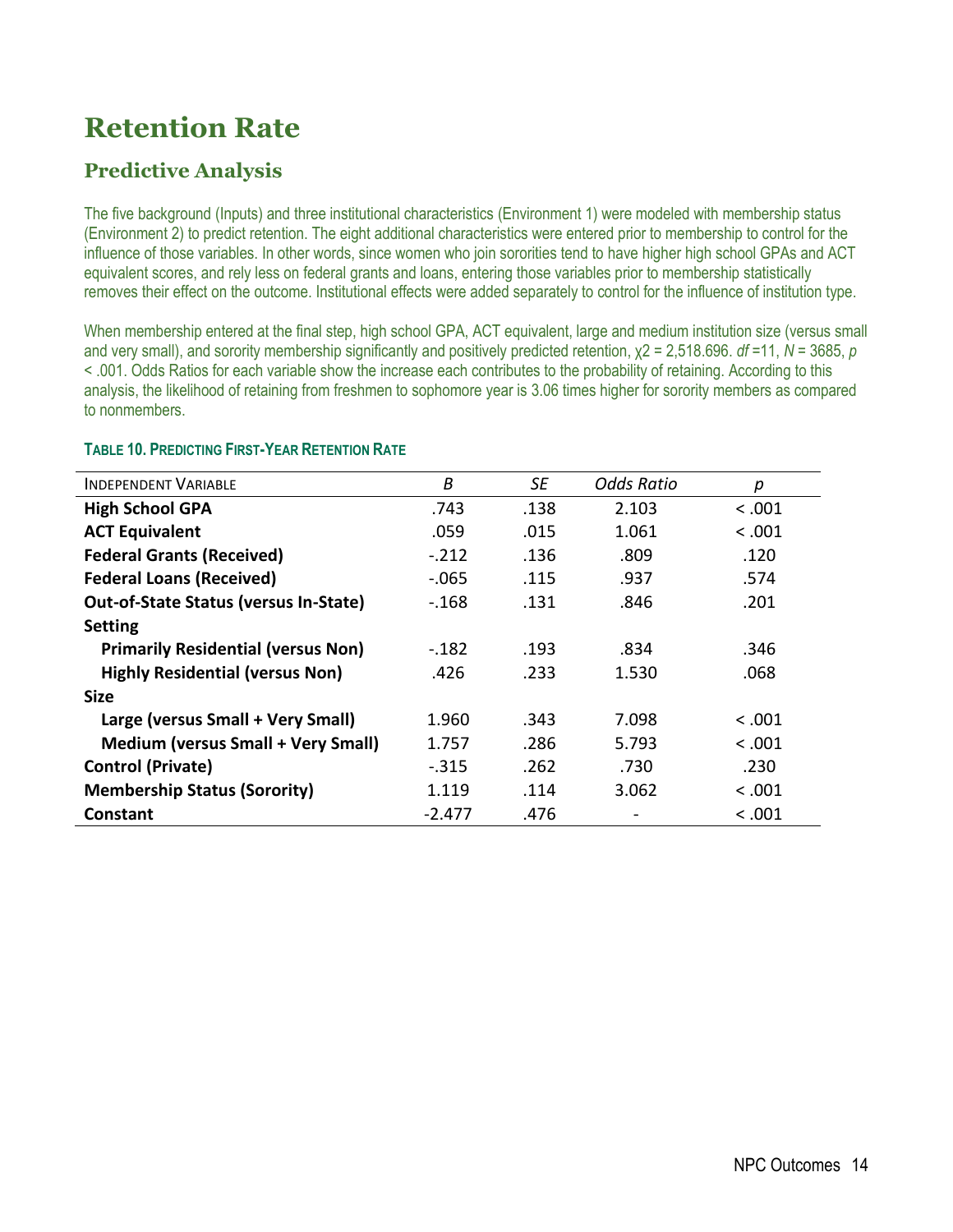## **Retention Rate**

## **Predictive Analysis**

The five background (Inputs) and three institutional characteristics (Environment 1) were modeled with membership status (Environment 2) to predict retention. The eight additional characteristics were entered prior to membership to control for the influence of those variables. In other words, since women who join sororities tend to have higher high school GPAs and ACT equivalent scores, and rely less on federal grants and loans, entering those variables prior to membership statistically removes their effect on the outcome. Institutional effects were added separately to control for the influence of institution type.

When membership entered at the final step, high school GPA, ACT equivalent, large and medium institution size (versus small and very small), and sorority membership significantly and positively predicted retention, χ2 = 2,518.696. *df* =11, *N* = 3685, *p* < .001. Odds Ratios for each variable show the increase each contributes to the probability of retaining. According to this analysis, the likelihood of retaining from freshmen to sophomore year is 3.06 times higher for sorority members as compared to nonmembers.

| <b>INDEPENDENT VARIABLE</b>                  | B        | SE   | <b>Odds Ratio</b> | р       |
|----------------------------------------------|----------|------|-------------------|---------|
| <b>High School GPA</b>                       | .743     | .138 | 2.103             | < .001  |
| <b>ACT Equivalent</b>                        | .059     | .015 | 1.061             | < 0.001 |
| <b>Federal Grants (Received)</b>             | $-.212$  | .136 | .809              | .120    |
| <b>Federal Loans (Received)</b>              | $-.065$  | .115 | .937              | .574    |
| <b>Out-of-State Status (versus In-State)</b> | $-168$   | .131 | .846              | .201    |
| <b>Setting</b>                               |          |      |                   |         |
| <b>Primarily Residential (versus Non)</b>    | $-182$   | .193 | .834              | .346    |
| <b>Highly Residential (versus Non)</b>       | .426     | .233 | 1.530             | .068    |
| <b>Size</b>                                  |          |      |                   |         |
| Large (versus Small + Very Small)            | 1.960    | .343 | 7.098             | < 0.001 |
| <b>Medium (versus Small + Very Small)</b>    | 1.757    | .286 | 5.793             | < 0.001 |
| <b>Control (Private)</b>                     | $-315$   | .262 | .730              | .230    |
| <b>Membership Status (Sorority)</b>          | 1.119    | .114 | 3.062             | < 0.001 |
| Constant                                     | $-2.477$ | .476 |                   | < 0.001 |

#### **TABLE 10. PREDICTING FIRST-YEAR RETENTION RATE**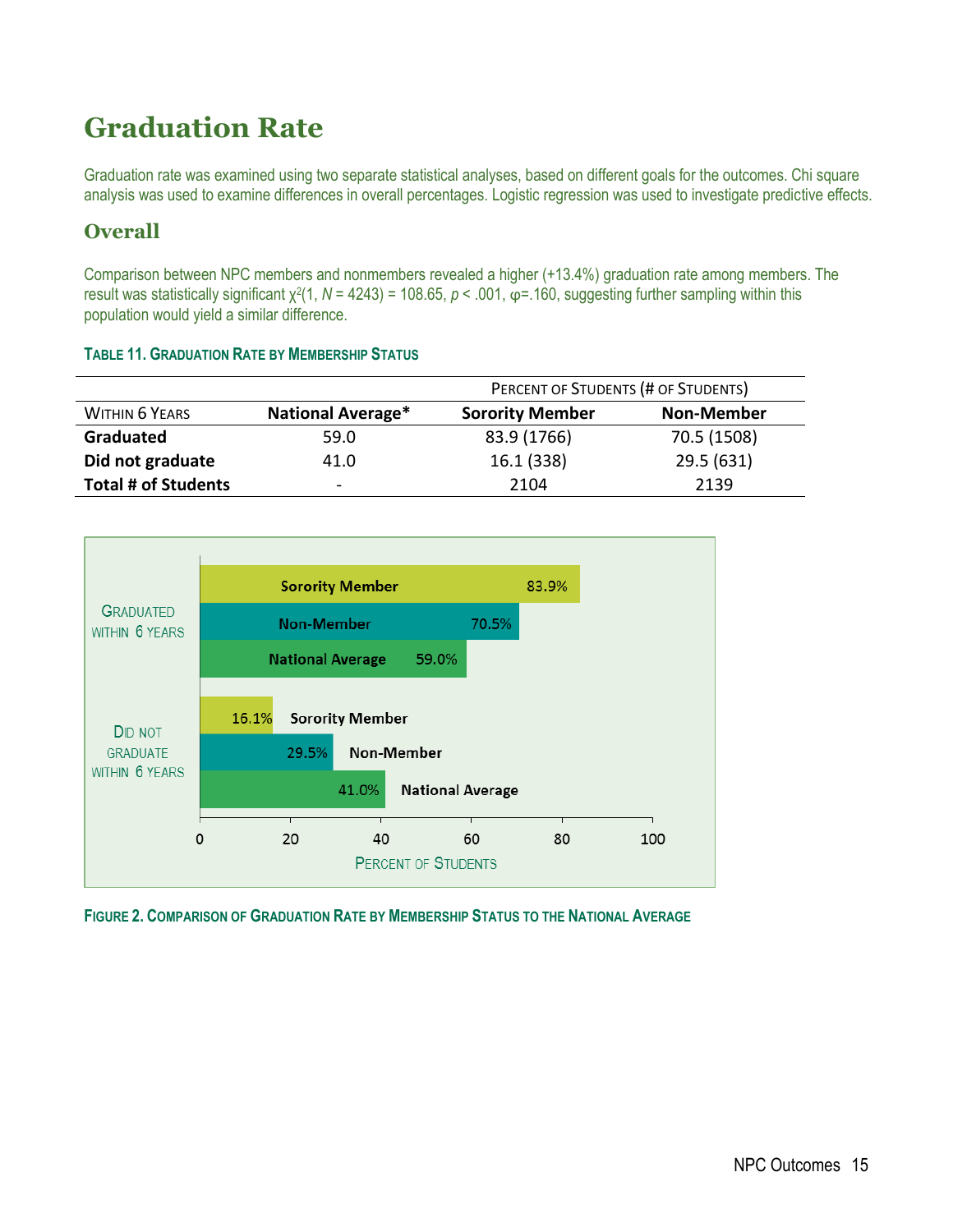## **Graduation Rate**

Graduation rate was examined using two separate statistical analyses, based on different goals for the outcomes. Chi square analysis was used to examine differences in overall percentages. Logistic regression was used to investigate predictive effects.

## **Overall**

Comparison between NPC members and nonmembers revealed a higher (+13.4%) graduation rate among members. The result was statistically significant χ<sup>2</sup>(1, N = 4243) = 108.65, p < .001, φ=.160, suggesting further sampling within this population would yield a similar difference.

#### **TABLE 11. GRADUATION RATE BY MEMBERSHIP STATUS**

|                            |                          | PERCENT OF STUDENTS (# OF STUDENTS) |                   |  |
|----------------------------|--------------------------|-------------------------------------|-------------------|--|
| <b>WITHIN 6 YEARS</b>      | <b>National Average*</b> | <b>Sorority Member</b>              | <b>Non-Member</b> |  |
| Graduated                  | 59.0                     | 83.9 (1766)                         | 70.5 (1508)       |  |
| Did not graduate           | 41.0                     | 16.1 (338)                          | 29.5 (631)        |  |
| <b>Total # of Students</b> | $\overline{\phantom{a}}$ | 2104                                | 2139              |  |



**FIGURE 2. COMPARISON OF GRADUATION RATE BY MEMBERSHIP STATUS TO THE NATIONAL AVERAGE**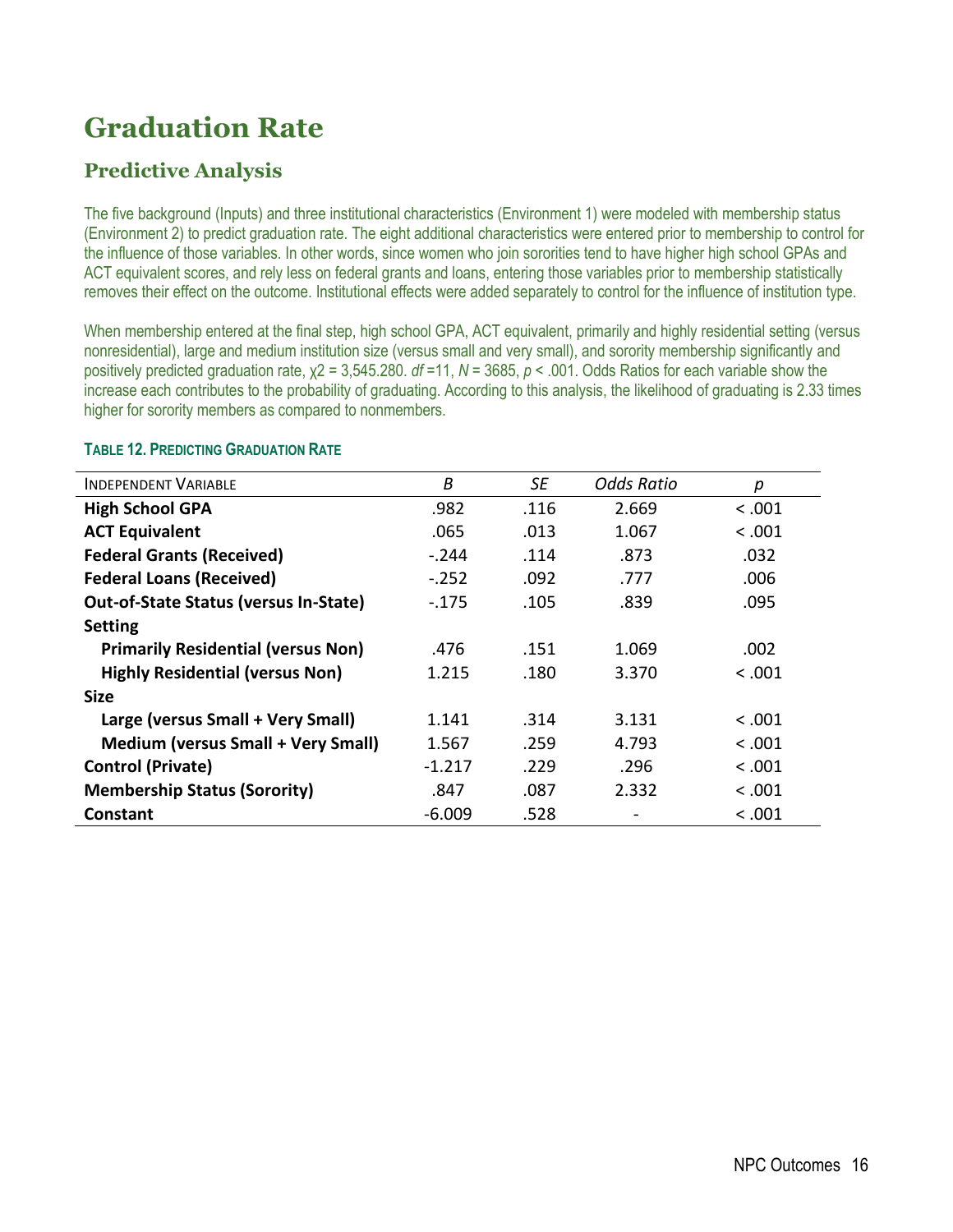## **Graduation Rate**

## **Predictive Analysis**

The five background (Inputs) and three institutional characteristics (Environment 1) were modeled with membership status (Environment 2) to predict graduation rate. The eight additional characteristics were entered prior to membership to control for the influence of those variables. In other words, since women who join sororities tend to have higher high school GPAs and ACT equivalent scores, and rely less on federal grants and loans, entering those variables prior to membership statistically removes their effect on the outcome. Institutional effects were added separately to control for the influence of institution type.

When membership entered at the final step, high school GPA, ACT equivalent, primarily and highly residential setting (versus nonresidential), large and medium institution size (versus small and very small), and sorority membership significantly and positively predicted graduation rate, χ2 = 3,545.280. *df* =11, *N* = 3685, *p* < .001. Odds Ratios for each variable show the increase each contributes to the probability of graduating. According to this analysis, the likelihood of graduating is 2.33 times higher for sorority members as compared to nonmembers.

| <b>INDEPENDENT VARIABLE</b>                  | Β        | SE   | <b>Odds Ratio</b> | р       |
|----------------------------------------------|----------|------|-------------------|---------|
| <b>High School GPA</b>                       | .982     | .116 | 2.669             | < 0.001 |
| <b>ACT Equivalent</b>                        | .065     | .013 | 1.067             | < 0.001 |
| <b>Federal Grants (Received)</b>             | $-.244$  | .114 | .873              | .032    |
| <b>Federal Loans (Received)</b>              | $-.252$  | .092 | .777              | .006    |
| <b>Out-of-State Status (versus In-State)</b> | $-175$   | .105 | .839              | .095    |
| <b>Setting</b>                               |          |      |                   |         |
| <b>Primarily Residential (versus Non)</b>    | .476     | .151 | 1.069             | .002    |
| <b>Highly Residential (versus Non)</b>       | 1.215    | .180 | 3.370             | < 0.001 |
| <b>Size</b>                                  |          |      |                   |         |
| Large (versus Small + Very Small)            | 1.141    | .314 | 3.131             | < .001  |
| <b>Medium (versus Small + Very Small)</b>    | 1.567    | .259 | 4.793             | < 0.001 |
| <b>Control (Private)</b>                     | $-1.217$ | .229 | .296              | < 0.001 |
| <b>Membership Status (Sorority)</b>          | .847     | .087 | 2.332             | < 0.001 |
| <b>Constant</b>                              | $-6.009$ | .528 |                   | < 0.001 |

#### **TABLE 12. PREDICTING GRADUATION RATE**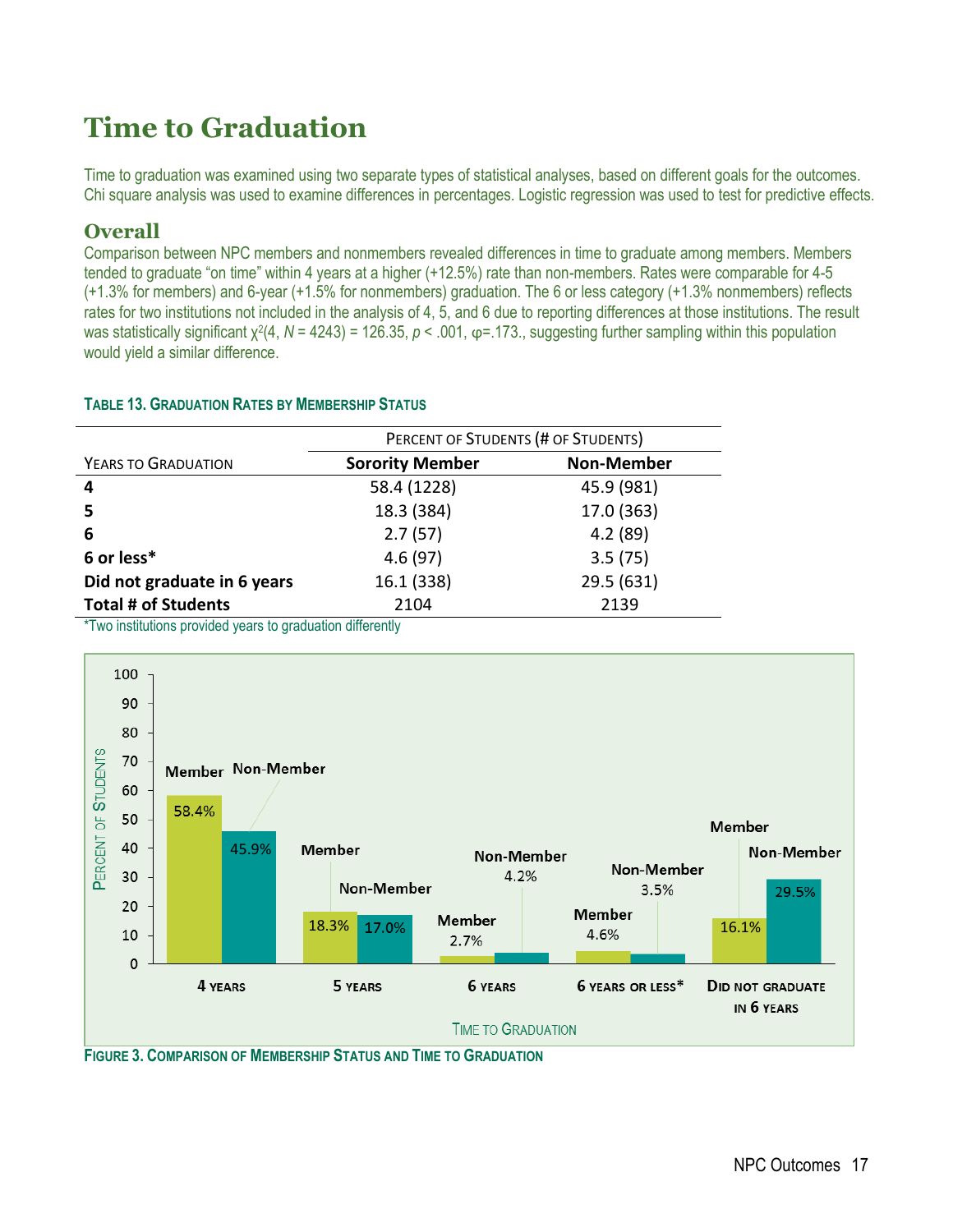Time to graduation was examined using two separate types of statistical analyses, based on different goals for the outcomes. Chi square analysis was used to examine differences in percentages. Logistic regression was used to test for predictive effects.

### **Overall**

Comparison between NPC members and nonmembers revealed differences in time to graduate among members. Members tended to graduate "on time" within 4 years at a higher (+12.5%) rate than non-members. Rates were comparable for 4-5 (+1.3% for members) and 6-year (+1.5% for nonmembers) graduation. The 6 or less category (+1.3% nonmembers) reflects rates for two institutions not included in the analysis of 4, 5, and 6 due to reporting differences at those institutions. The result was statistically significant χ<sup>2</sup>(4, N = 4243) = 126.35, p < .001, φ=.173., suggesting further sampling within this population would yield a similar difference.

#### **TABLE 13. GRADUATION RATES BY MEMBERSHIP STATUS**

|                             | PERCENT OF STUDENTS (# OF STUDENTS) |                   |  |
|-----------------------------|-------------------------------------|-------------------|--|
| YEARS TO GRADUATION         | <b>Sorority Member</b>              | <b>Non-Member</b> |  |
| 4                           | 58.4 (1228)                         | 45.9 (981)        |  |
| -5                          | 18.3 (384)                          | 17.0 (363)        |  |
| 6                           | 2.7(57)                             | 4.2(89)           |  |
| 6 or less*                  | 4.6(97)                             | 3.5(75)           |  |
| Did not graduate in 6 years | 16.1 (338)                          | 29.5 (631)        |  |
| <b>Total # of Students</b>  | 2104                                | 2139              |  |

\*Two institutions provided years to graduation differently



**FIGURE 3. COMPARISON OF MEMBERSHIP STATUS AND TIME TO GRADUATION**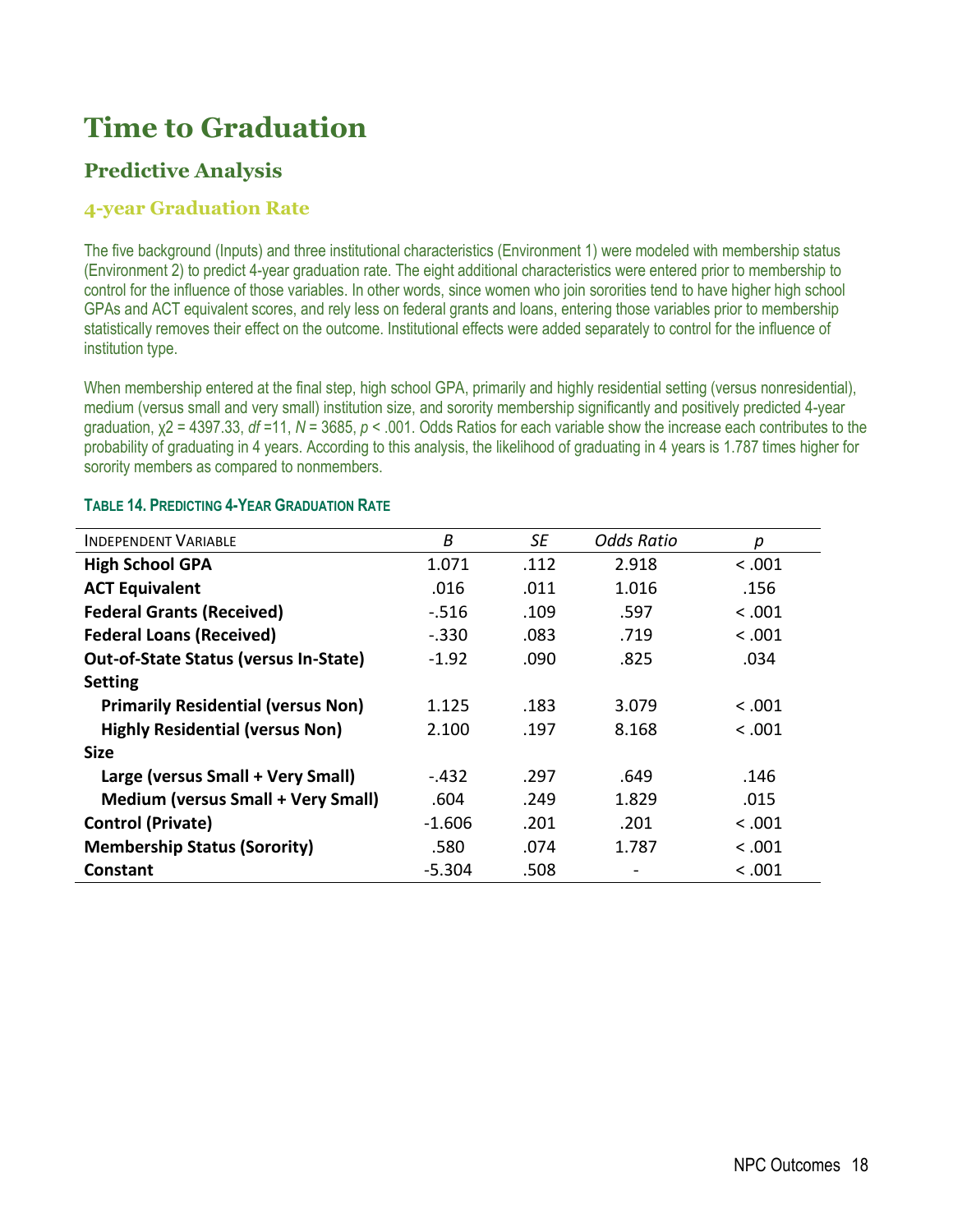## **Predictive Analysis**

### **4-year Graduation Rate**

The five background (Inputs) and three institutional characteristics (Environment 1) were modeled with membership status (Environment 2) to predict 4-year graduation rate. The eight additional characteristics were entered prior to membership to control for the influence of those variables. In other words, since women who join sororities tend to have higher high school GPAs and ACT equivalent scores, and rely less on federal grants and loans, entering those variables prior to membership statistically removes their effect on the outcome. Institutional effects were added separately to control for the influence of institution type.

When membership entered at the final step, high school GPA, primarily and highly residential setting (versus nonresidential), medium (versus small and very small) institution size, and sorority membership significantly and positively predicted 4-year graduation, χ2 = 4397.33, *df* =11, *N* = 3685, *p* < .001. Odds Ratios for each variable show the increase each contributes to the probability of graduating in 4 years. According to this analysis, the likelihood of graduating in 4 years is 1.787 times higher for sorority members as compared to nonmembers.

| <b>INDEPENDENT VARIABLE</b>                  | Β        | SE   | <b>Odds Ratio</b> | р       |
|----------------------------------------------|----------|------|-------------------|---------|
| <b>High School GPA</b>                       | 1.071    | .112 | 2.918             | < .001  |
| <b>ACT Equivalent</b>                        | .016     | .011 | 1.016             | .156    |
| <b>Federal Grants (Received)</b>             | $-.516$  | .109 | .597              | < 0.001 |
| <b>Federal Loans (Received)</b>              | $-.330$  | .083 | .719              | < 0.001 |
| <b>Out-of-State Status (versus In-State)</b> | $-1.92$  | .090 | .825              | .034    |
| <b>Setting</b>                               |          |      |                   |         |
| <b>Primarily Residential (versus Non)</b>    | 1.125    | .183 | 3.079             | < 0.001 |
| <b>Highly Residential (versus Non)</b>       | 2.100    | .197 | 8.168             | < 0.001 |
| <b>Size</b>                                  |          |      |                   |         |
| Large (versus Small + Very Small)            | $-.432$  | .297 | .649              | .146    |
| <b>Medium (versus Small + Very Small)</b>    | .604     | .249 | 1.829             | .015    |
| <b>Control (Private)</b>                     | $-1.606$ | .201 | .201              | < 0.001 |
| <b>Membership Status (Sorority)</b>          | .580     | .074 | 1.787             | < 0.001 |
| <b>Constant</b>                              | $-5.304$ | .508 |                   | < 0.001 |

#### **TABLE 14. PREDICTING 4-YEAR GRADUATION RATE**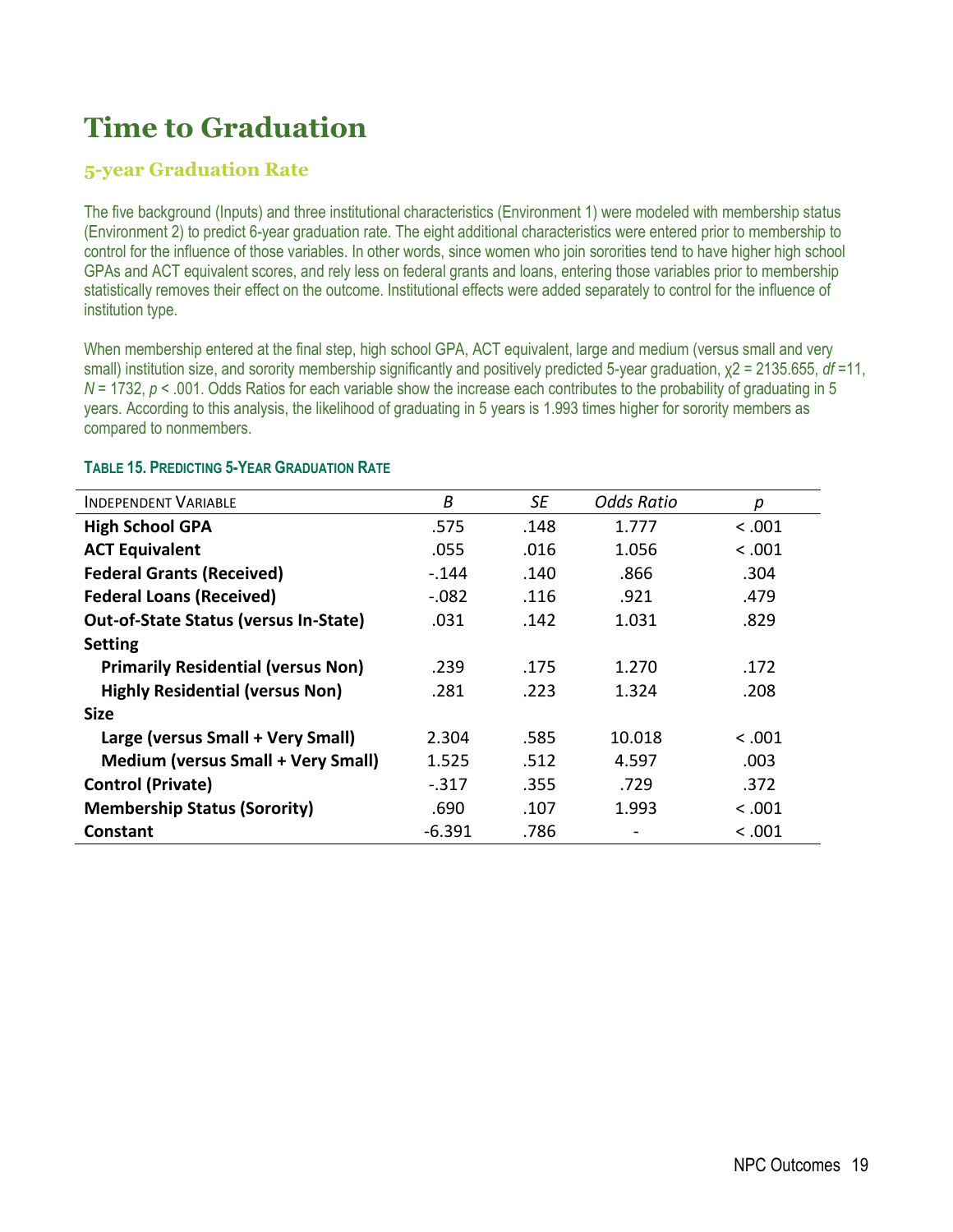### **5-year Graduation Rate**

The five background (Inputs) and three institutional characteristics (Environment 1) were modeled with membership status (Environment 2) to predict 6-year graduation rate. The eight additional characteristics were entered prior to membership to control for the influence of those variables. In other words, since women who join sororities tend to have higher high school GPAs and ACT equivalent scores, and rely less on federal grants and loans, entering those variables prior to membership statistically removes their effect on the outcome. Institutional effects were added separately to control for the influence of institution type.

When membership entered at the final step, high school GPA, ACT equivalent, large and medium (versus small and very small) institution size, and sorority membership significantly and positively predicted 5-year graduation, χ2 = 2135.655, *df* =11, *N* = 1732, *p* < .001. Odds Ratios for each variable show the increase each contributes to the probability of graduating in 5 years. According to this analysis, the likelihood of graduating in 5 years is 1.993 times higher for sorority members as compared to nonmembers.

| <b>INDEPENDENT VARIABLE</b>                  | B        | SE   | Odds Ratio | р       |
|----------------------------------------------|----------|------|------------|---------|
| <b>High School GPA</b>                       | .575     | .148 | 1.777      | < 0.001 |
| <b>ACT Equivalent</b>                        | .055     | .016 | 1.056      | < 0.001 |
| <b>Federal Grants (Received)</b>             | $-144$   | .140 | .866       | .304    |
| <b>Federal Loans (Received)</b>              | $-.082$  | .116 | .921       | .479    |
| <b>Out-of-State Status (versus In-State)</b> | .031     | .142 | 1.031      | .829    |
| <b>Setting</b>                               |          |      |            |         |
| <b>Primarily Residential (versus Non)</b>    | .239     | .175 | 1.270      | .172    |
| <b>Highly Residential (versus Non)</b>       | .281     | .223 | 1.324      | .208    |
| <b>Size</b>                                  |          |      |            |         |
| Large (versus Small + Very Small)            | 2.304    | .585 | 10.018     | < 0.001 |
| <b>Medium (versus Small + Very Small)</b>    | 1.525    | .512 | 4.597      | .003    |
| <b>Control (Private)</b>                     | $-.317$  | .355 | .729       | .372    |
| <b>Membership Status (Sorority)</b>          | .690     | .107 | 1.993      | < 0.001 |
| Constant                                     | $-6.391$ | .786 |            | < .001  |

#### **TABLE 15. PREDICTING 5-YEAR GRADUATION RATE**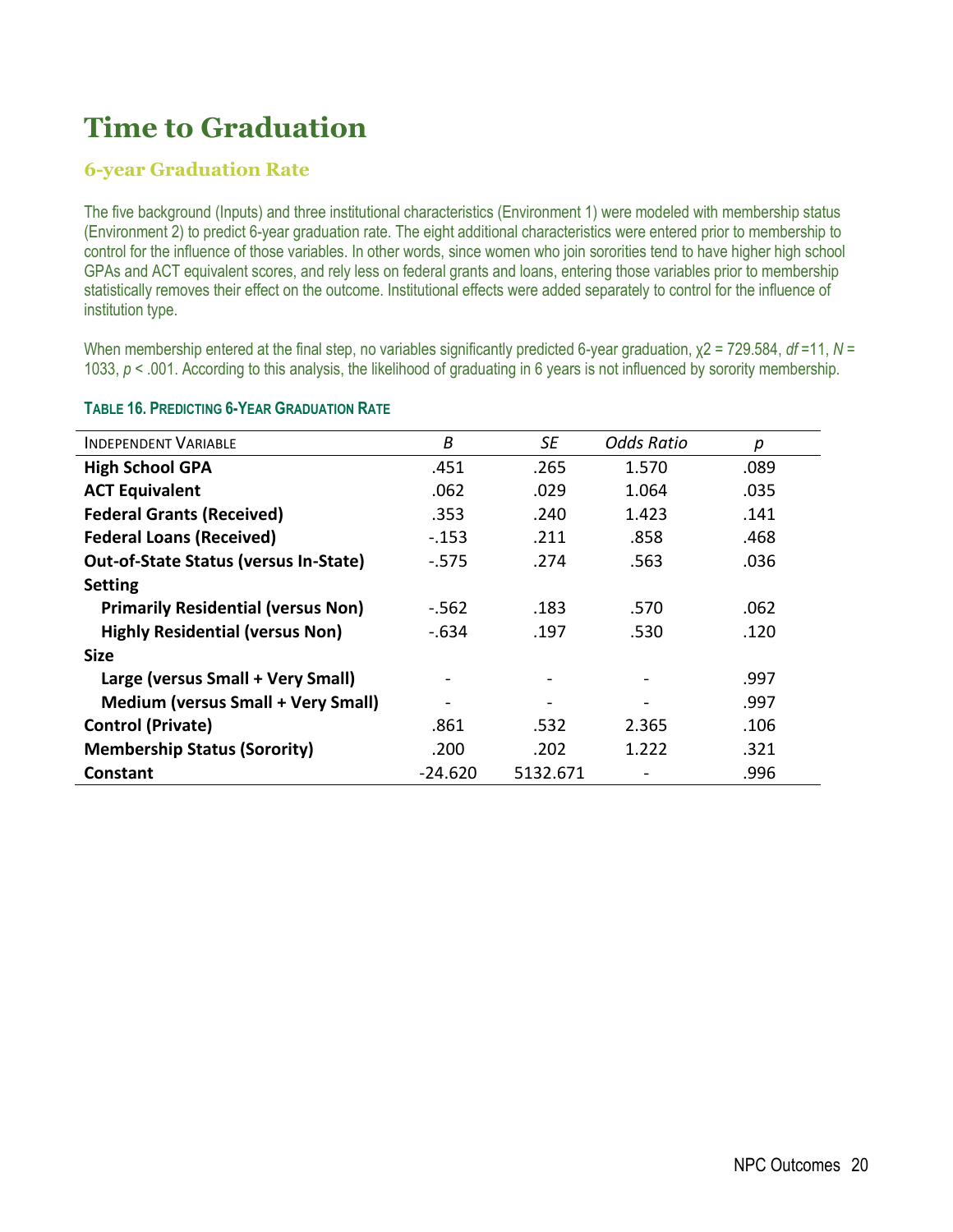### **6-year Graduation Rate**

The five background (Inputs) and three institutional characteristics (Environment 1) were modeled with membership status (Environment 2) to predict 6-year graduation rate. The eight additional characteristics were entered prior to membership to control for the influence of those variables. In other words, since women who join sororities tend to have higher high school GPAs and ACT equivalent scores, and rely less on federal grants and loans, entering those variables prior to membership statistically removes their effect on the outcome. Institutional effects were added separately to control for the influence of institution type.

When membership entered at the final step, no variables significantly predicted 6-year graduation, χ2 = 729.584, *df* =11, *N* = 1033, *p* < .001. According to this analysis, the likelihood of graduating in 6 years is not influenced by sorority membership.

| <b>INDEPENDENT VARIABLE</b>                  | B         | SE       | <b>Odds Ratio</b> | р    |
|----------------------------------------------|-----------|----------|-------------------|------|
| <b>High School GPA</b>                       | .451      | .265     | 1.570             | .089 |
| <b>ACT Equivalent</b>                        | .062      | .029     | 1.064             | .035 |
| <b>Federal Grants (Received)</b>             | .353      | .240     | 1.423             | .141 |
| <b>Federal Loans (Received)</b>              | $-153$    | .211     | .858              | .468 |
| <b>Out-of-State Status (versus In-State)</b> | $-575$    | .274     | .563              | .036 |
| <b>Setting</b>                               |           |          |                   |      |
| <b>Primarily Residential (versus Non)</b>    | $-562$    | .183     | .570              | .062 |
| <b>Highly Residential (versus Non)</b>       | $-.634$   | .197     | .530              | .120 |
| <b>Size</b>                                  |           |          |                   |      |
| Large (versus Small + Very Small)            |           |          |                   | .997 |
| <b>Medium (versus Small + Very Small)</b>    |           |          |                   | .997 |
| <b>Control (Private)</b>                     | .861      | .532     | 2.365             | .106 |
| <b>Membership Status (Sorority)</b>          | .200      | .202     | 1.222             | .321 |
| Constant                                     | $-24.620$ | 5132.671 |                   | .996 |

#### **TABLE 16. PREDICTING 6-YEAR GRADUATION RATE**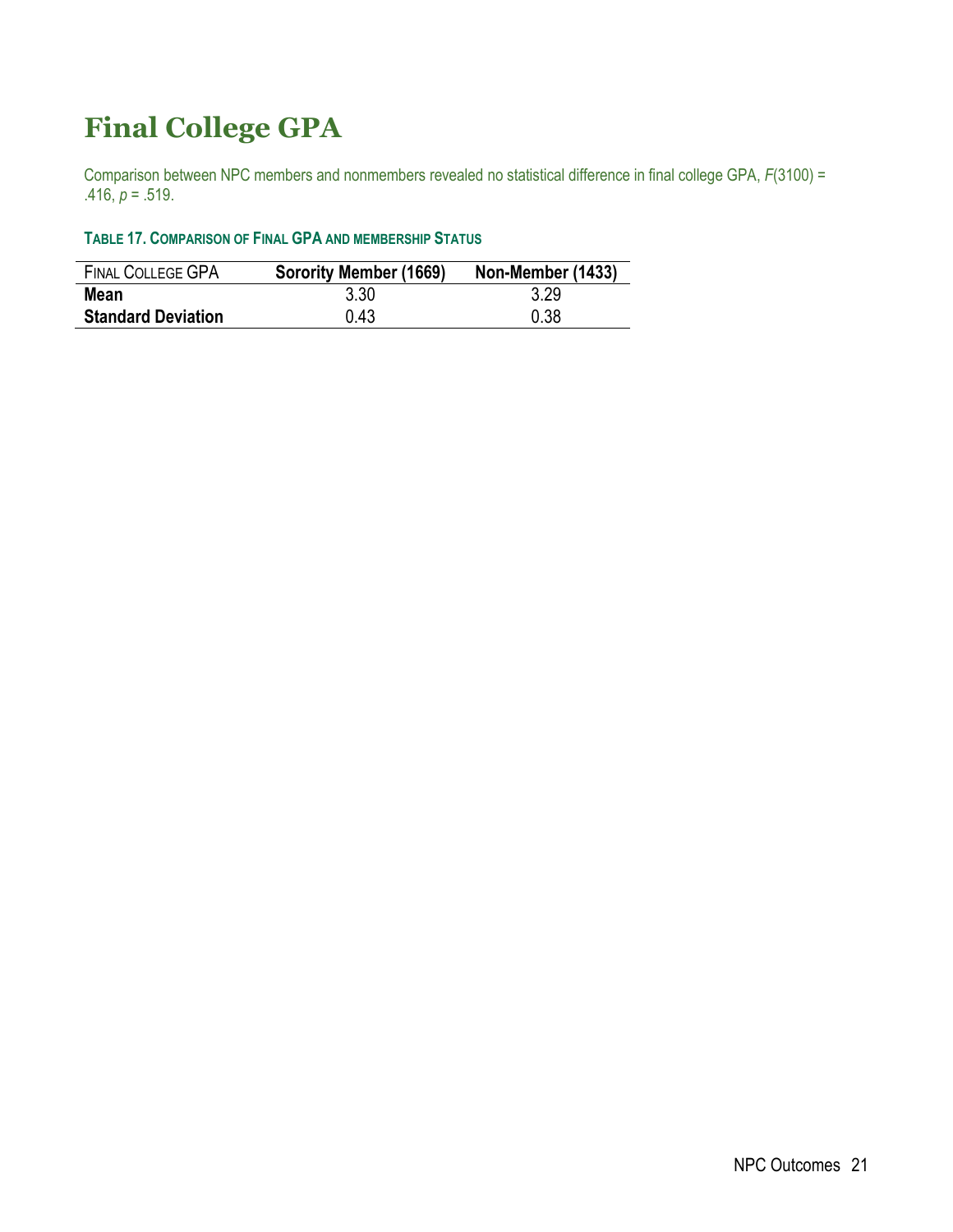## **Final College GPA**

Comparison between NPC members and nonmembers revealed no statistical difference in final college GPA, *F*(3100) = .416,  $p = .519$ .

#### **TABLE 17. COMPARISON OF FINAL GPA AND MEMBERSHIP STATUS**

| <b>FINAL COLLEGE GPA</b>  | Sorority Member (1669) | Non-Member (1433) |
|---------------------------|------------------------|-------------------|
| Mean                      | 3.30                   | 3.29              |
| <b>Standard Deviation</b> | 0.43                   | 0.38              |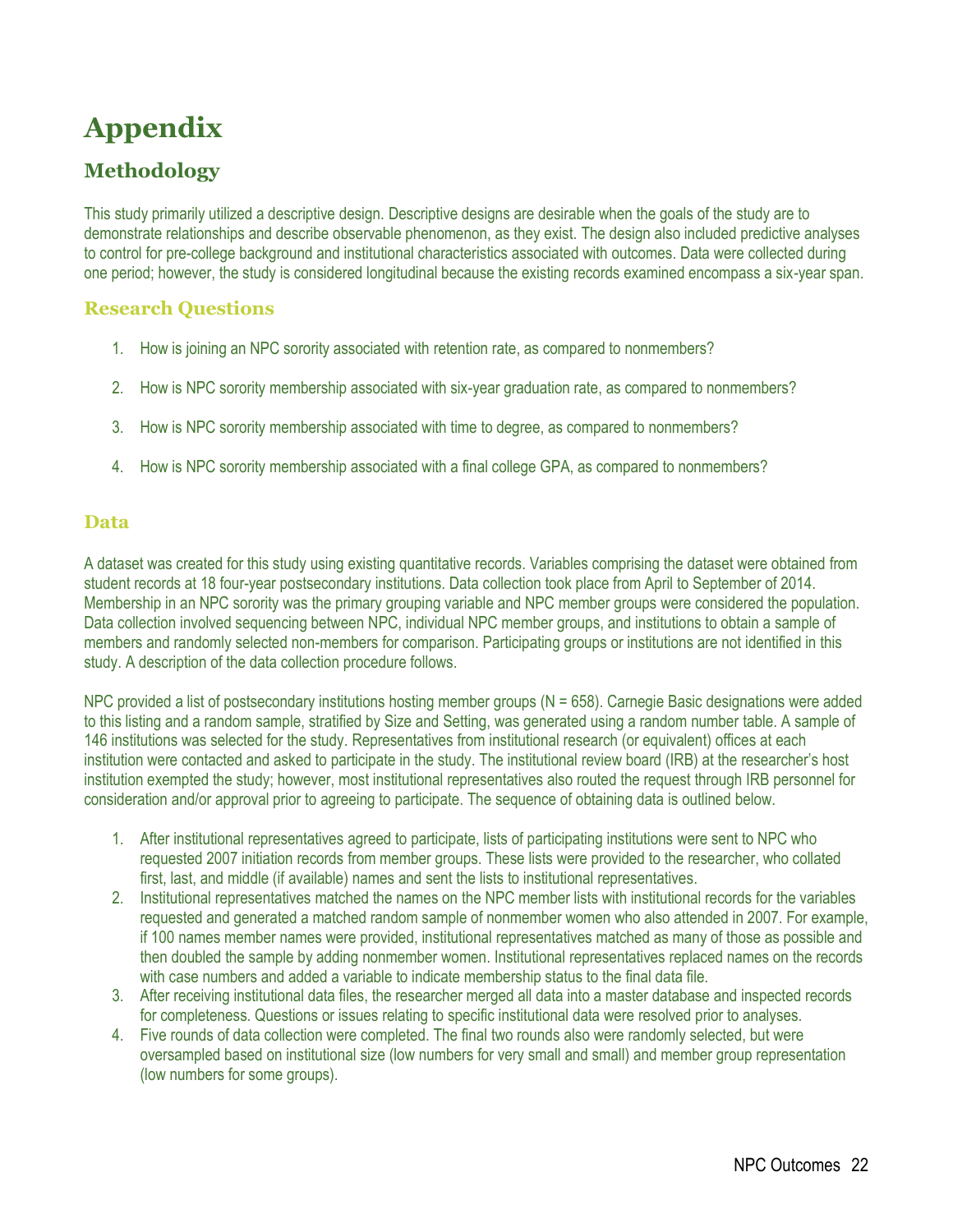# **Appendix**

## **Methodology**

This study primarily utilized a descriptive design. Descriptive designs are desirable when the goals of the study are to demonstrate relationships and describe observable phenomenon, as they exist. The design also included predictive analyses to control for pre-college background and institutional characteristics associated with outcomes. Data were collected during one period; however, the study is considered longitudinal because the existing records examined encompass a six-year span.

#### **Research Questions**

- 1. How is joining an NPC sorority associated with retention rate, as compared to nonmembers?
- 2. How is NPC sorority membership associated with six-year graduation rate, as compared to nonmembers?
- 3. How is NPC sorority membership associated with time to degree, as compared to nonmembers?
- 4. How is NPC sorority membership associated with a final college GPA, as compared to nonmembers?

#### **Data**

A dataset was created for this study using existing quantitative records. Variables comprising the dataset were obtained from student records at 18 four-year postsecondary institutions. Data collection took place from April to September of 2014. Membership in an NPC sorority was the primary grouping variable and NPC member groups were considered the population. Data collection involved sequencing between NPC, individual NPC member groups, and institutions to obtain a sample of members and randomly selected non-members for comparison. Participating groups or institutions are not identified in this study. A description of the data collection procedure follows.

NPC provided a list of postsecondary institutions hosting member groups ( $N = 658$ ). Carnegie Basic designations were added to this listing and a random sample, stratified by Size and Setting, was generated using a random number table. A sample of 146 institutions was selected for the study. Representatives from institutional research (or equivalent) offices at each institution were contacted and asked to participate in the study. The institutional review board (IRB) at the researcher's host institution exempted the study; however, most institutional representatives also routed the request through IRB personnel for consideration and/or approval prior to agreeing to participate. The sequence of obtaining data is outlined below.

- 1. After institutional representatives agreed to participate, lists of participating institutions were sent to NPC who requested 2007 initiation records from member groups. These lists were provided to the researcher, who collated first, last, and middle (if available) names and sent the lists to institutional representatives.
- 2. Institutional representatives matched the names on the NPC member lists with institutional records for the variables requested and generated a matched random sample of nonmember women who also attended in 2007. For example, if 100 names member names were provided, institutional representatives matched as many of those as possible and then doubled the sample by adding nonmember women. Institutional representatives replaced names on the records with case numbers and added a variable to indicate membership status to the final data file.
- 3. After receiving institutional data files, the researcher merged all data into a master database and inspected records for completeness. Questions or issues relating to specific institutional data were resolved prior to analyses.
- 4. Five rounds of data collection were completed. The final two rounds also were randomly selected, but were oversampled based on institutional size (low numbers for very small and small) and member group representation (low numbers for some groups).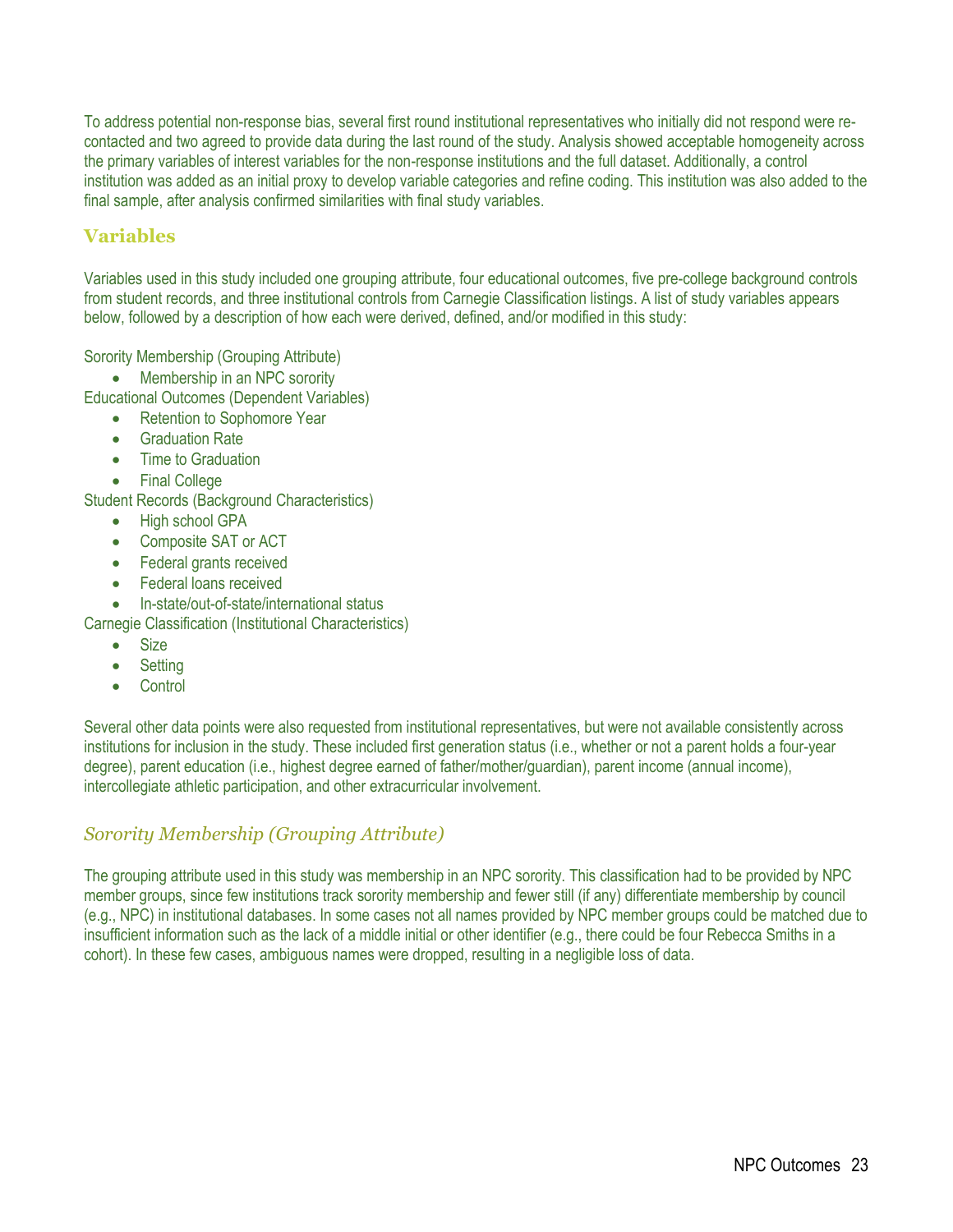To address potential non-response bias, several first round institutional representatives who initially did not respond were recontacted and two agreed to provide data during the last round of the study. Analysis showed acceptable homogeneity across the primary variables of interest variables for the non-response institutions and the full dataset. Additionally, a control institution was added as an initial proxy to develop variable categories and refine coding. This institution was also added to the final sample, after analysis confirmed similarities with final study variables.

### **Variables**

Variables used in this study included one grouping attribute, four educational outcomes, five pre-college background controls from student records, and three institutional controls from Carnegie Classification listings. A list of study variables appears below, followed by a description of how each were derived, defined, and/or modified in this study:

Sorority Membership (Grouping Attribute)

• Membership in an NPC sorority

Educational Outcomes (Dependent Variables)

- Retention to Sophomore Year
- **•** Graduation Rate
- Time to Graduation
- Final College

Student Records (Background Characteristics)

- High school GPA
- Composite SAT or ACT
- Federal grants received
- Federal loans received
- In-state/out-of-state/international status

Carnegie Classification (Institutional Characteristics)

- Size
- Setting
- **Control**

Several other data points were also requested from institutional representatives, but were not available consistently across institutions for inclusion in the study. These included first generation status (i.e., whether or not a parent holds a four-year degree), parent education (i.e., highest degree earned of father/mother/guardian), parent income (annual income), intercollegiate athletic participation, and other extracurricular involvement.

### *Sorority Membership (Grouping Attribute)*

The grouping attribute used in this study was membership in an NPC sorority. This classification had to be provided by NPC member groups, since few institutions track sorority membership and fewer still (if any) differentiate membership by council (e.g., NPC) in institutional databases. In some cases not all names provided by NPC member groups could be matched due to insufficient information such as the lack of a middle initial or other identifier (e.g., there could be four Rebecca Smiths in a cohort). In these few cases, ambiguous names were dropped, resulting in a negligible loss of data.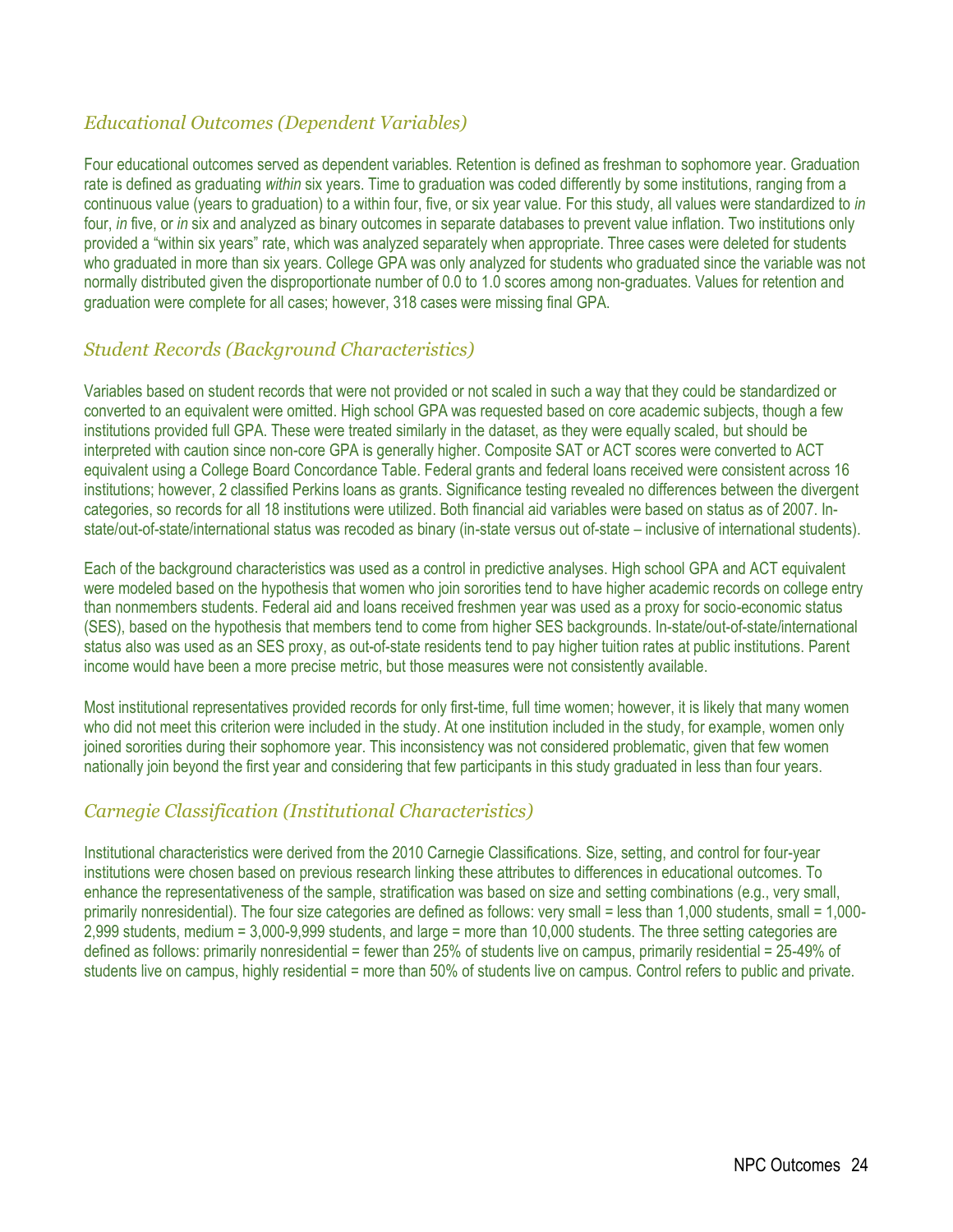### *Educational Outcomes (Dependent Variables)*

Four educational outcomes served as dependent variables. Retention is defined as freshman to sophomore year. Graduation rate is defined as graduating *within* six years. Time to graduation was coded differently by some institutions, ranging from a continuous value (years to graduation) to a within four, five, or six year value. For this study, all values were standardized to *in* four, *in* five, or *in* six and analyzed as binary outcomes in separate databases to prevent value inflation. Two institutions only provided a "within six years" rate, which was analyzed separately when appropriate. Three cases were deleted for students who graduated in more than six years. College GPA was only analyzed for students who graduated since the variable was not normally distributed given the disproportionate number of 0.0 to 1.0 scores among non-graduates. Values for retention and graduation were complete for all cases; however, 318 cases were missing final GPA.

### *Student Records (Background Characteristics)*

Variables based on student records that were not provided or not scaled in such a way that they could be standardized or converted to an equivalent were omitted. High school GPA was requested based on core academic subjects, though a few institutions provided full GPA. These were treated similarly in the dataset, as they were equally scaled, but should be interpreted with caution since non-core GPA is generally higher. Composite SAT or ACT scores were converted to ACT equivalent using a College Board Concordance Table. Federal grants and federal loans received were consistent across 16 institutions; however, 2 classified Perkins loans as grants. Significance testing revealed no differences between the divergent categories, so records for all 18 institutions were utilized. Both financial aid variables were based on status as of 2007. Instate/out-of-state/international status was recoded as binary (in-state versus out of-state – inclusive of international students).

Each of the background characteristics was used as a control in predictive analyses. High school GPA and ACT equivalent were modeled based on the hypothesis that women who join sororities tend to have higher academic records on college entry than nonmembers students. Federal aid and loans received freshmen year was used as a proxy for socio-economic status (SES), based on the hypothesis that members tend to come from higher SES backgrounds. In-state/out-of-state/international status also was used as an SES proxy, as out-of-state residents tend to pay higher tuition rates at public institutions. Parent income would have been a more precise metric, but those measures were not consistently available.

Most institutional representatives provided records for only first-time, full time women; however, it is likely that many women who did not meet this criterion were included in the study. At one institution included in the study, for example, women only joined sororities during their sophomore year. This inconsistency was not considered problematic, given that few women nationally join beyond the first year and considering that few participants in this study graduated in less than four years.

### *Carnegie Classification (Institutional Characteristics)*

Institutional characteristics were derived from the 2010 Carnegie Classifications. Size, setting, and control for four-year institutions were chosen based on previous research linking these attributes to differences in educational outcomes. To enhance the representativeness of the sample, stratification was based on size and setting combinations (e.g., very small, primarily nonresidential). The four size categories are defined as follows: very small = less than 1,000 students, small = 1,000- 2,999 students, medium = 3,000-9,999 students, and large = more than 10,000 students. The three setting categories are defined as follows: primarily nonresidential = fewer than 25% of students live on campus, primarily residential = 25-49% of students live on campus, highly residential = more than 50% of students live on campus. Control refers to public and private.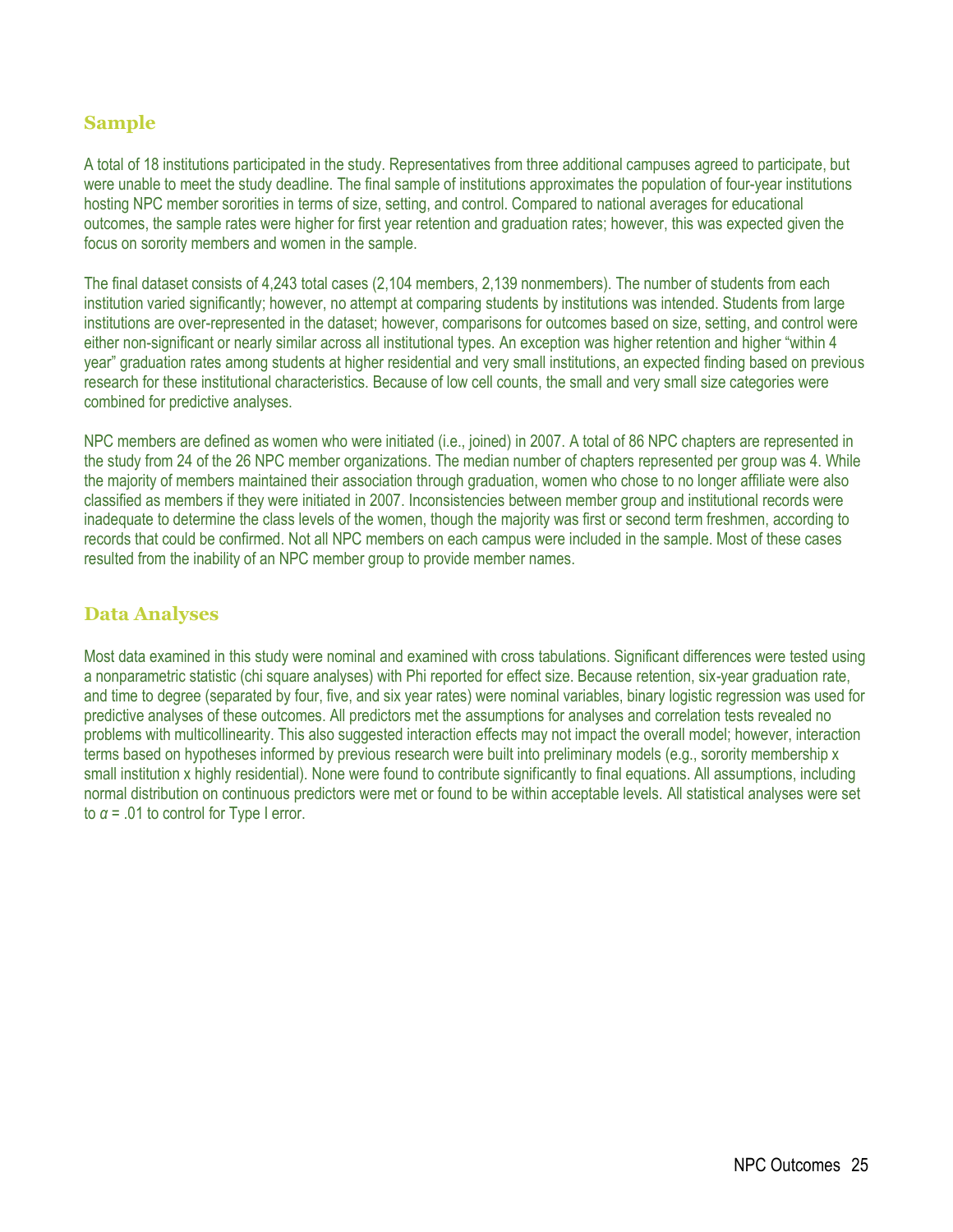### **Sample**

A total of 18 institutions participated in the study. Representatives from three additional campuses agreed to participate, but were unable to meet the study deadline. The final sample of institutions approximates the population of four-year institutions hosting NPC member sororities in terms of size, setting, and control. Compared to national averages for educational outcomes, the sample rates were higher for first year retention and graduation rates; however, this was expected given the focus on sorority members and women in the sample.

The final dataset consists of 4,243 total cases (2,104 members, 2,139 nonmembers). The number of students from each institution varied significantly; however, no attempt at comparing students by institutions was intended. Students from large institutions are over-represented in the dataset; however, comparisons for outcomes based on size, setting, and control were either non-significant or nearly similar across all institutional types. An exception was higher retention and higher "within 4 year" graduation rates among students at higher residential and very small institutions, an expected finding based on previous research for these institutional characteristics. Because of low cell counts, the small and very small size categories were combined for predictive analyses.

NPC members are defined as women who were initiated (i.e., joined) in 2007. A total of 86 NPC chapters are represented in the study from 24 of the 26 NPC member organizations. The median number of chapters represented per group was 4. While the majority of members maintained their association through graduation, women who chose to no longer affiliate were also classified as members if they were initiated in 2007. Inconsistencies between member group and institutional records were inadequate to determine the class levels of the women, though the majority was first or second term freshmen, according to records that could be confirmed. Not all NPC members on each campus were included in the sample. Most of these cases resulted from the inability of an NPC member group to provide member names.

#### **Data Analyses**

Most data examined in this study were nominal and examined with cross tabulations. Significant differences were tested using a nonparametric statistic (chi square analyses) with Phi reported for effect size. Because retention, six-year graduation rate, and time to degree (separated by four, five, and six year rates) were nominal variables, binary logistic regression was used for predictive analyses of these outcomes. All predictors met the assumptions for analyses and correlation tests revealed no problems with multicollinearity. This also suggested interaction effects may not impact the overall model; however, interaction terms based on hypotheses informed by previous research were built into preliminary models (e.g., sorority membership x small institution x highly residential). None were found to contribute significantly to final equations. All assumptions, including normal distribution on continuous predictors were met or found to be within acceptable levels. All statistical analyses were set to  $\alpha$  = .01 to control for Type I error.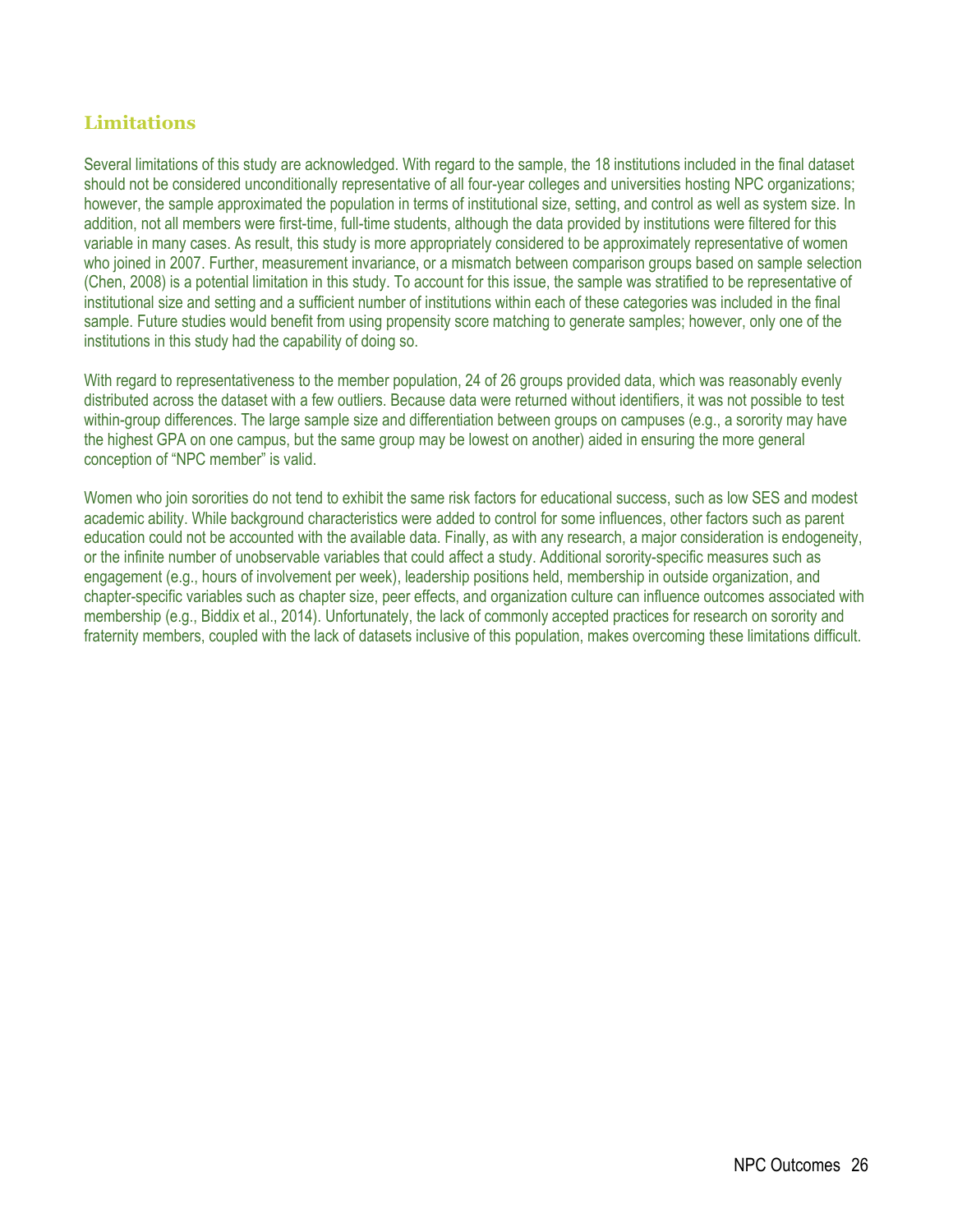### **Limitations**

Several limitations of this study are acknowledged. With regard to the sample, the 18 institutions included in the final dataset should not be considered unconditionally representative of all four-year colleges and universities hosting NPC organizations; however, the sample approximated the population in terms of institutional size, setting, and control as well as system size. In addition, not all members were first-time, full-time students, although the data provided by institutions were filtered for this variable in many cases. As result, this study is more appropriately considered to be approximately representative of women who joined in 2007. Further, measurement invariance, or a mismatch between comparison groups based on sample selection (Chen, 2008) is a potential limitation in this study. To account for this issue, the sample was stratified to be representative of institutional size and setting and a sufficient number of institutions within each of these categories was included in the final sample. Future studies would benefit from using propensity score matching to generate samples; however, only one of the institutions in this study had the capability of doing so.

With regard to representativeness to the member population, 24 of 26 groups provided data, which was reasonably evenly distributed across the dataset with a few outliers. Because data were returned without identifiers, it was not possible to test within-group differences. The large sample size and differentiation between groups on campuses (e.g., a sorority may have the highest GPA on one campus, but the same group may be lowest on another) aided in ensuring the more general conception of "NPC member" is valid.

Women who join sororities do not tend to exhibit the same risk factors for educational success, such as low SES and modest academic ability. While background characteristics were added to control for some influences, other factors such as parent education could not be accounted with the available data. Finally, as with any research, a major consideration is endogeneity, or the infinite number of unobservable variables that could affect a study. Additional sorority-specific measures such as engagement (e.g., hours of involvement per week), leadership positions held, membership in outside organization, and chapter-specific variables such as chapter size, peer effects, and organization culture can influence outcomes associated with membership (e.g., Biddix et al., 2014). Unfortunately, the lack of commonly accepted practices for research on sorority and fraternity members, coupled with the lack of datasets inclusive of this population, makes overcoming these limitations difficult.